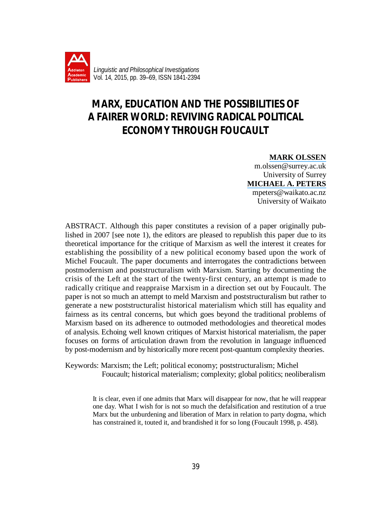

# **MARX, EDUCATION AND THE POSSIBILITIES OF A FAIRER WORLD: REVIVING RADICAL POLITICAL ECONOMY THROUGH FOUCAULT**

**[MARK OLSSEN](https://www.researchgate.net/profile/Mark_Olssen?el=1_x_100&enrichId=rgreq-5c0861254901ea5db99325379f694d5d-XXX&enrichSource=Y292ZXJQYWdlOzI4MzEzMjYzNTtBUzozNTA3ODY2Nzc2OTAzNjhAMTQ2MDY0NTQ2OTc3NQ==)** m.olssen@surrey.ac.uk University of Surrey **[MICHAEL A. PETERS](https://www.researchgate.net/profile/Michael_Peters2?el=1_x_100&enrichId=rgreq-5c0861254901ea5db99325379f694d5d-XXX&enrichSource=Y292ZXJQYWdlOzI4MzEzMjYzNTtBUzozNTA3ODY2Nzc2OTAzNjhAMTQ2MDY0NTQ2OTc3NQ==)** mpeters@waikato.ac.nz University of Waikato

ABSTRACT. Although this paper constitutes a revision of a paper originally published in 2007 [see note 1), the editors are pleased to republish this paper due to its theoretical importance for the critique of Marxism as well the interest it creates for establishing the possibility of a new political economy based upon the work of Michel Foucault. The paper documents and interrogates the contradictions between postmodernism and poststructuralism with Marxism. Starting by documenting the crisis of the Left at the start of the twenty-first century, an attempt is made to radically critique and reappraise Marxism in a direction set out by Foucault. The paper is not so much an attempt to meld Marxism and poststructuralism but rather to generate a new poststructuralist historical materialism which still has equality and fairness as its central concerns, but which goes beyond the traditional problems of Marxism based on its adherence to outmoded methodologies and theoretical modes of analysis. Echoing well known critiques of Marxist historical materialism, the paper focuses on forms of articulation drawn from the revolution in language influenced by post-modernism and by historically more recent post-quantum complexity theories.

Keywords: Marxism; the Left; political economy; poststructuralism; Michel Foucault; historical materialism; complexity; global politics; neoliberalism

> It is clear, even if one admits that Marx will disappear for now, that he will reappear one day. What I wish for is not so much the defalsification and restitution of a true Marx but the unburdening and liberation of Marx in relation to party dogma, which has constrained it, touted it, and brandished it for so long (Foucault 1998, p. 458).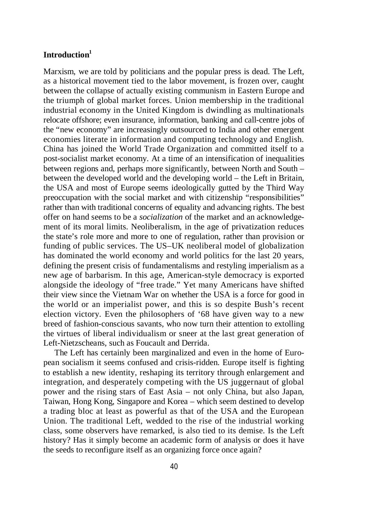# **Introduction<sup>1</sup>**

Marxism, we are told by politicians and the popular press is dead. The Left, as a historical movement tied to the labor movement, is frozen over, caught between the collapse of actually existing communism in Eastern Europe and the triumph of global market forces. Union membership in the traditional industrial economy in the United Kingdom is dwindling as multinationals relocate offshore; even insurance, information, banking and call-centre jobs of the "new economy" are increasingly outsourced to India and other emergent economies literate in information and computing technology and English. China has joined the World Trade Organization and committed itself to a post-socialist market economy. At a time of an intensification of inequalities between regions and, perhaps more significantly, between North and South – between the developed world and the developing world – the Left in Britain, the USA and most of Europe seems ideologically gutted by the Third Way preoccupation with the social market and with citizenship "responsibilities" rather than with traditional concerns of equality and advancing rights. The best offer on hand seems to be a *socialization* of the market and an acknowledgement of its moral limits. Neoliberalism, in the age of privatization reduces the state's role more and more to one of regulation, rather than provision or funding of public services. The US–UK neoliberal model of globalization has dominated the world economy and world politics for the last 20 years, defining the present crisis of fundamentalisms and restyling imperialism as a new age of barbarism. In this age, American-style democracy is exported alongside the ideology of "free trade." Yet many Americans have shifted their view since the Vietnam War on whether the USA is a force for good in the world or an imperialist power, and this is so despite Bush's recent election victory. Even the philosophers of '68 have given way to a new breed of fashion-conscious savants, who now turn their attention to extolling the virtues of liberal individualism or sneer at the last great generation of Left-Nietzscheans, such as Foucault and Derrida.

The Left has certainly been marginalized and even in the home of European socialism it seems confused and crisis-ridden. Europe itself is fighting to establish a new identity, reshaping its territory through enlargement and integration, and desperately competing with the US juggernaut of global power and the rising stars of East Asia – not only China, but also Japan, Taiwan, Hong Kong, Singapore and Korea – which seem destined to develop a trading bloc at least as powerful as that of the USA and the European Union. The traditional Left, wedded to the rise of the industrial working class, some observers have remarked, is also tied to its demise. Is the Left history? Has it simply become an academic form of analysis or does it have the seeds to reconfigure itself as an organizing force once again?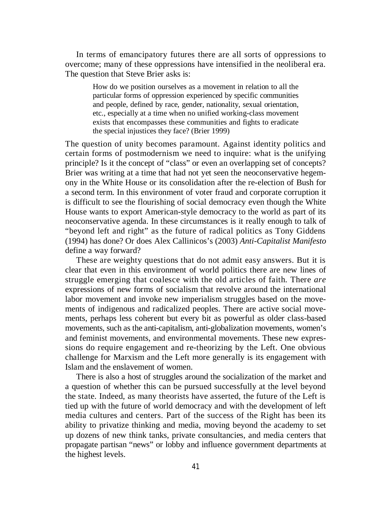In terms of emancipatory futures there are all sorts of oppressions to overcome; many of these oppressions have intensified in the neoliberal era. The question that Steve Brier asks is:

> How do we position ourselves as a movement in relation to all the particular forms of oppression experienced by specific communities and people, defined by race, gender, nationality, sexual orientation, etc., especially at a time when no unified working-class movement exists that encompasses these communities and fights to eradicate the special injustices they face? (Brier 1999)

The question of unity becomes paramount. Against identity politics and certain forms of postmodernism we need to inquire: what is the unifying principle? Is it the concept of "class" or even an overlapping set of concepts? Brier was writing at a time that had not yet seen the neoconservative hegemony in the White House or its consolidation after the re-election of Bush for a second term. In this environment of voter fraud and corporate corruption it is difficult to see the flourishing of social democracy even though the White House wants to export American-style democracy to the world as part of its neoconservative agenda. In these circumstances is it really enough to talk of "beyond left and right" as the future of radical politics as Tony Giddens (1994) has done? Or does Alex Callinicos's (2003) *Anti-Capitalist Manifesto*  define a way forward?

These are weighty questions that do not admit easy answers. But it is clear that even in this environment of world politics there are new lines of struggle emerging that coalesce with the old articles of faith. There *are* expressions of new forms of socialism that revolve around the international labor movement and invoke new imperialism struggles based on the movements of indigenous and radicalized peoples. There are active social movements, perhaps less coherent but every bit as powerful as older class-based movements, such as the anti-capitalism, anti-globalization movements, women's and feminist movements, and environmental movements. These new expressions do require engagement and re-theorizing by the Left. One obvious challenge for Marxism and the Left more generally is its engagement with Islam and the enslavement of women.

There is also a host of struggles around the socialization of the market and a question of whether this can be pursued successfully at the level beyond the state. Indeed, as many theorists have asserted, the future of the Left is tied up with the future of world democracy and with the development of left media cultures and centers. Part of the success of the Right has been its ability to privatize thinking and media, moving beyond the academy to set up dozens of new think tanks, private consultancies, and media centers that propagate partisan "news" or lobby and influence government departments at the highest levels.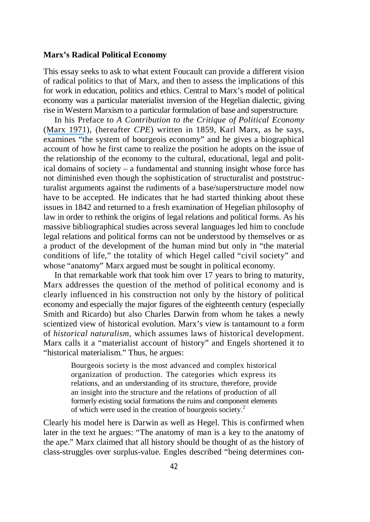### **Marx's Radical Political Economy**

This essay seeks to ask to what extent Foucault can provide a different vision of radical politics to that of Marx, and then to assess the implications of this for work in education, politics and ethics. Central to Marx's model of political economy was a particular materialist inversion of the Hegelian dialectic, giving rise in Western Marxism to a particular formulation of base and superstructure.

In his Preface to *A Contribution to the Critique of Political Economy* ([Marx 1971](https://www.researchgate.net/publication/237131488_A_Contribution_to_the_Critique_of_Political_Economy?el=1_x_8&enrichId=rgreq-5c0861254901ea5db99325379f694d5d-XXX&enrichSource=Y292ZXJQYWdlOzI4MzEzMjYzNTtBUzozNTA3ODY2Nzc2OTAzNjhAMTQ2MDY0NTQ2OTc3NQ==)), (hereafter *CPE*) written in 1859, Karl Marx, as he says, examines "the system of bourgeois economy" and he gives a biographical account of how he first came to realize the position he adopts on the issue of the relationship of the economy to the cultural, educational, legal and political domains of society – a fundamental and stunning insight whose force has not diminished even though the sophistication of structuralist and poststructuralist arguments against the rudiments of a base/superstructure model now have to be accepted. He indicates that he had started thinking about these issues in 1842 and returned to a fresh examination of Hegelian philosophy of law in order to rethink the origins of legal relations and political forms. As his massive bibliographical studies across several languages led him to conclude legal relations and political forms can not be understood by themselves or as a product of the development of the human mind but only in "the material conditions of life," the totality of which Hegel called "civil society" and whose "anatomy" Marx argued must be sought in political economy.

In that remarkable work that took him over 17 years to bring to maturity, Marx addresses the question of the method of political economy and is clearly influenced in his construction not only by the history of political economy and especially the major figures of the eighteenth century (especially Smith and Ricardo) but also Charles Darwin from whom he takes a newly scientized view of historical evolution. Marx's view is tantamount to a form of *historical naturalism*, which assumes laws of historical development. Marx calls it a "materialist account of history" and Engels shortened it to "historical materialism." Thus, he argues:

> Bourgeois society is the most advanced and complex historical organization of production. The categories which express its relations, and an understanding of its structure, therefore, provide an insight into the structure and the relations of production of all formerly existing social formations the ruins and component elements of which were used in the creation of bourgeois society.<sup>2</sup>

Clearly his model here is Darwin as well as Hegel. This is confirmed when later in the text he argues: "The anatomy of man is a key to the anatomy of the ape." Marx claimed that all history should be thought of as the history of class-struggles over surplus-value. Engles described "being determines con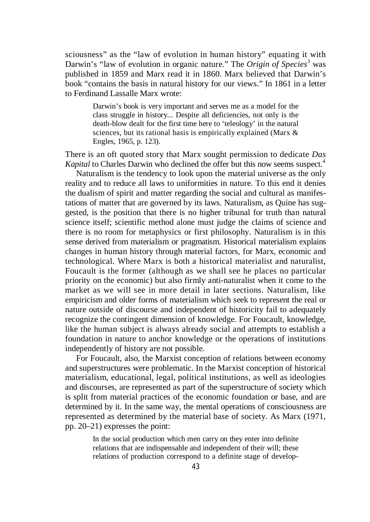sciousness" as the "law of evolution in human history" equating it with Darwin's "law of evolution in organic nature." The *Origin of Species*<sup>3</sup> was published in 1859 and Marx read it in 1860. Marx believed that Darwin's book "contains the basis in natural history for our views." In 1861 in a letter to Ferdinand Lassalle Marx wrote:

> Darwin's book is very important and serves me as a model for the class struggle in history... Despite all deficiencies, not only is the death-blow dealt for the first time here to 'teleology' in the natural sciences, but its rational basis is empirically explained (Marx & Engles, 1965, p. 123).

There is an oft quoted story that Marx sought permission to dedicate *Das Kapital* to Charles Darwin who declined the offer but this now seems suspect.<sup>4</sup>

Naturalism is the tendency to look upon the material universe as the only reality and to reduce all laws to uniformities in nature. To this end it denies the dualism of spirit and matter regarding the social and cultural as manifestations of matter that are governed by its laws. Naturalism, as Quine has suggested, is the position that there is no higher tribunal for truth than natural science itself; scientific method alone must judge the claims of science and there is no room for metaphysics or first philosophy. Naturalism is in this sense derived from materialism or pragmatism. Historical materialism explains changes in human history through material factors, for Marx, economic and technological. Where Marx is both a historical materialist and naturalist, Foucault is the former (although as we shall see he places no particular priority on the economic) but also firmly anti-naturalist when it come to the market as we will see in more detail in later sections. Naturalism, like empiricism and older forms of materialism which seek to represent the real or nature outside of discourse and independent of historicity fail to adequately recognize the contingent dimension of knowledge. For Foucault, knowledge, like the human subject is always already social and attempts to establish a foundation in nature to anchor knowledge or the operations of institutions independently of history are not possible.

For Foucault, also, the Marxist conception of relations between economy and superstructures were problematic. In the Marxist conception of historical materialism, educational, legal, political institutions, as well as ideologies and discourses, are represented as part of the superstructure of society which is split from material practices of the economic foundation or base, and are determined by it. In the same way, the mental operations of consciousness are represented as determined by the material base of society. As Marx (1971, pp. 20–21) expresses the point:

> In the social production which men carry on they enter into definite relations that are indispensable and independent of their will; these relations of production correspond to a definite stage of develop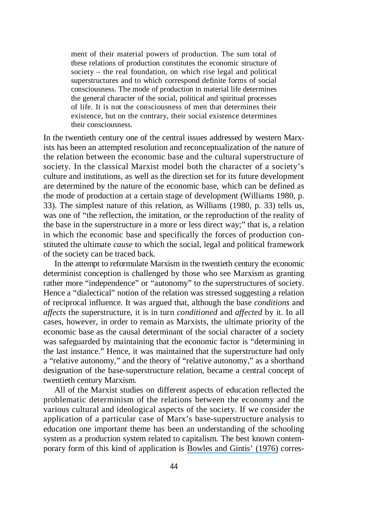ment of their material powers of production. The sum total of these relations of production constitutes the economic structure of society – the real foundation, on which rise legal and political superstructures and to which correspond definite forms of social consciousness. The mode of production in material life determines the general character of the social, political and spiritual processes of life. It is not the consciousness of men that determines their existence, but on the contrary, their social existence determines their consciousness.

In the twentieth century one of the central issues addressed by western Marxists has been an attempted resolution and reconceptualization of the nature of the relation between the economic base and the cultural superstructure of society. In the classical Marxist model both the character of a society's culture and institutions, as well as the direction set for its future development are determined by the nature of the economic base, which can be defined as the mode of production at a certain stage of development (Williams 1980, p. 33). The simplest nature of this relation, as Williams (1980, p. 33) tells us, was one of "the reflection, the imitation, or the reproduction of the reality of the base in the superstructure in a more or less direct way;" that is, a relation in which the economic base and specifically the forces of production constituted the ultimate *cause* to which the social, legal and political framework of the society can be traced back.

In the attempt to reformulate Marxism in the twentieth century the economic determinist conception is challenged by those who see Marxism as granting rather more "independence" or "autonomy" to the superstructures of society. Hence a "dialectical" notion of the relation was stressed suggesting a relation of reciprocal influence. It was argued that, although the base *conditions* and *affects* the superstructure, it is in turn *conditioned* and *affected* by it. In all cases, however, in order to remain as Marxists, the ultimate priority of the economic base as the causal determinant of the social character of a society was safeguarded by maintaining that the economic factor is "determining in the last instance." Hence, it was maintained that the superstructure had only a "relative autonomy," and the theory of "relative autonomy," as a shorthand designation of the base-superstructure relation, became a central concept of twentieth century Marxism.

All of the Marxist studies on different aspects of education reflected the problematic determinism of the relations between the economy and the various cultural and ideological aspects of the society. If we consider the application of a particular case of Marx's base-superstructure analysis to education one important theme has been an understanding of the schooling system as a production system related to capitalism. The best known contemporary form of this kind of application is [Bowles and Gintis' \(1976\)](https://www.researchgate.net/publication/224596378_Schooling_in_Capitalist_America_Educational_Reform_and_the_Contradictions_of_Economic_Life?el=1_x_8&enrichId=rgreq-5c0861254901ea5db99325379f694d5d-XXX&enrichSource=Y292ZXJQYWdlOzI4MzEzMjYzNTtBUzozNTA3ODY2Nzc2OTAzNjhAMTQ2MDY0NTQ2OTc3NQ==) corres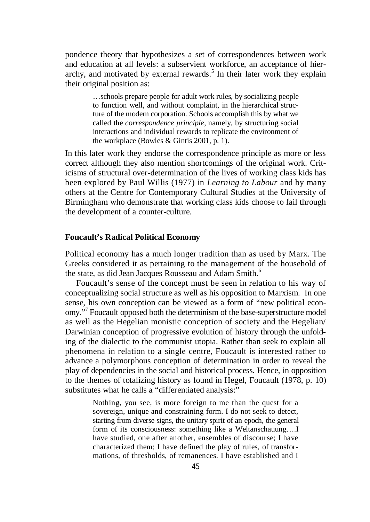pondence theory that hypothesizes a set of correspondences between work and education at all levels: a subservient workforce, an acceptance of hierarchy, and motivated by external rewards.<sup>5</sup> In their later work they explain their original position as:

> …schools prepare people for adult work rules, by socializing people to function well, and without complaint, in the hierarchical structure of the modern corporation. Schools accomplish this by what we called the *correspondence principle*, namely, by structuring social interactions and individual rewards to replicate the environment of the workplace (Bowles & Gintis 2001, p. 1).

In this later work they endorse the correspondence principle as more or less correct although they also mention shortcomings of the original work. Criticisms of structural over-determination of the lives of working class kids has been explored by Paul Willis (1977) in *Learning to Labour* and by many others at the Centre for Contemporary Cultural Studies at the University of Birmingham who demonstrate that working class kids choose to fail through the development of a counter-culture.

### **Foucault's Radical Political Economy**

Political economy has a much longer tradition than as used by Marx. The Greeks considered it as pertaining to the management of the household of the state, as did Jean Jacques Rousseau and Adam Smith.<sup>6</sup>

Foucault's sense of the concept must be seen in relation to his way of conceptualizing social structure as well as his opposition to Marxism. In one sense, his own conception can be viewed as a form of "new political economy."<sup>7</sup> Foucault opposed both the determinism of the base-superstructure model as well as the Hegelian monistic conception of society and the Hegelian/ Darwinian conception of progressive evolution of history through the unfolding of the dialectic to the communist utopia. Rather than seek to explain all phenomena in relation to a single centre, Foucault is interested rather to advance a polymorphous conception of determination in order to reveal the play of dependencies in the social and historical process. Hence, in opposition to the themes of totalizing history as found in Hegel, Foucault (1978, p. 10) substitutes what he calls a "differentiated analysis:"

> Nothing, you see, is more foreign to me than the quest for a sovereign, unique and constraining form. I do not seek to detect, starting from diverse signs, the unitary spirit of an epoch, the general form of its consciousness: something like a Weltanschauung….I have studied, one after another, ensembles of discourse; I have characterized them; I have defined the play of rules, of transformations, of thresholds, of remanences. I have established and I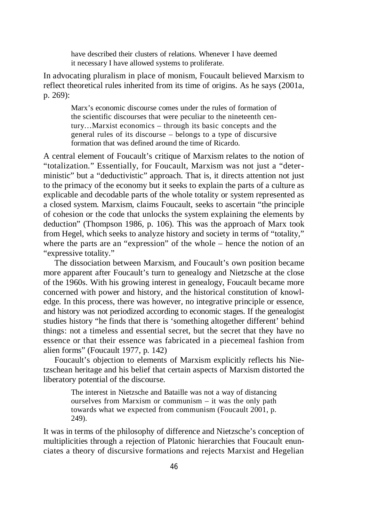have described their clusters of relations. Whenever I have deemed it necessary I have allowed systems to proliferate.

In advocating pluralism in place of monism, Foucault believed Marxism to reflect theoretical rules inherited from its time of origins. As he says (2001a, p. 269):

> Marx's economic discourse comes under the rules of formation of the scientific discourses that were peculiar to the nineteenth century…Marxist economics – through its basic concepts and the general rules of its discourse – belongs to a type of discursive formation that was defined around the time of Ricardo.

A central element of Foucault's critique of Marxism relates to the notion of "totalization." Essentially, for Foucault, Marxism was not just a "deterministic" but a "deductivistic" approach. That is, it directs attention not just to the primacy of the economy but it seeks to explain the parts of a culture as explicable and decodable parts of the whole totality or system represented as a closed system. Marxism, claims Foucault, seeks to ascertain "the principle of cohesion or the code that unlocks the system explaining the elements by deduction" (Thompson 1986, p. 106). This was the approach of Marx took from Hegel, which seeks to analyze history and society in terms of "totality," where the parts are an "expression" of the whole – hence the notion of an "expressive totality."

The dissociation between Marxism, and Foucault's own position became more apparent after Foucault's turn to genealogy and Nietzsche at the close of the 1960s. With his growing interest in genealogy, Foucault became more concerned with power and history, and the historical constitution of knowledge. In this process, there was however, no integrative principle or essence, and history was not periodized according to economic stages. If the genealogist studies history "he finds that there is 'something altogether different' behind things: not a timeless and essential secret, but the secret that they have no essence or that their essence was fabricated in a piecemeal fashion from alien forms" (Foucault 1977, p. 142)

Foucault's objection to elements of Marxism explicitly reflects his Nietzschean heritage and his belief that certain aspects of Marxism distorted the liberatory potential of the discourse.

> The interest in Nietzsche and Bataille was not a way of distancing ourselves from Marxism or communism – it was the only path towards what we expected from communism (Foucault 2001, p. 249).

It was in terms of the philosophy of difference and Nietzsche's conception of multiplicities through a rejection of Platonic hierarchies that Foucault enunciates a theory of discursive formations and rejects Marxist and Hegelian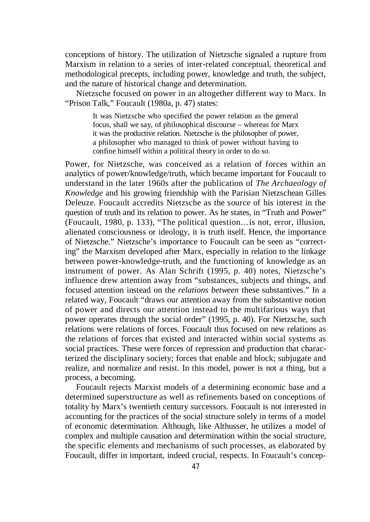conceptions of history. The utilization of Nietzsche signaled a rupture from Marxism in relation to a series of inter-related conceptual, theoretical and methodological precepts, including power, knowledge and truth, the subject, and the nature of historical change and determination.

Nietzsche focused on power in an altogether different way to Marx. In "Prison Talk," Foucault (1980a, p. 47) states:

> It was Nietzsche who specified the power relation as the general focus, shall we say, of philosophical discourse – whereas for Marx it was the productive relation. Nietzsche is the philosopher of power, a philosopher who managed to think of power without having to confine himself within a political theory in order to do so.

Power, for Nietzsche, was conceived as a relation of forces within an analytics of power/knowledge/truth, which became important for Foucault to understand in the later 1960s after the publication of *The Archaeology of Knowledge* and his growing friendship with the Parisian Nietzschean Gilles Deleuze. Foucault accredits Nietzsche as the source of his interest in the question of truth and its relation to power. As he states, in "Truth and Power" (Foucault, 1980, p. 133), "The political question…is not, error, illusion, alienated consciousness or ideology, it is truth itself. Hence, the importance of Nietzsche." Nietzsche's importance to Foucault can be seen as "correcting" the Marxism developed after Marx, especially in relation to the linkage between power-knowledge-truth, and the functioning of knowledge as an instrument of power. As Alan Schrift (1995, p. 40) notes, Nietzsche's influence drew attention away from "substances, subjects and things, and focused attention instead on the *relations between* these substantives." In a related way, Foucault "draws our attention away from the substantive notion of power and directs our attention instead to the multifarious ways that power operates through the social order" (1995, p. 40). For Nietzsche, such relations were relations of forces. Foucault thus focused on new relations as the relations of forces that existed and interacted within social systems as social practices. These were forces of repression and production that characterized the disciplinary society; forces that enable and block; subjugate and realize, and normalize and resist. In this model, power is not a thing, but a process, a becoming.

Foucault rejects Marxist models of a determining economic base and a determined superstructure as well as refinements based on conceptions of totality by Marx's twentieth century successors. Foucault is not interested in accounting for the practices of the social structure solely in terms of a model of economic determination. Although, like Althusser, he utilizes a model of complex and multiple causation and determination within the social structure, the specific elements and mechanisms of such processes, as elaborated by Foucault, differ in important, indeed crucial, respects. In Foucault's concep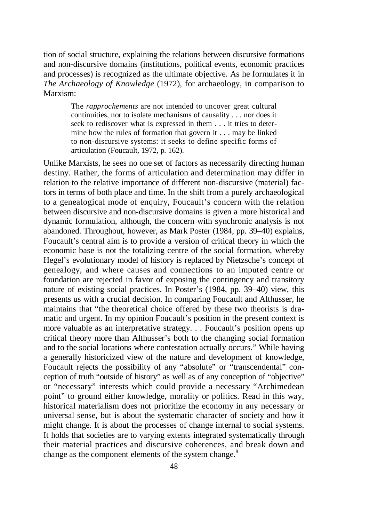tion of social structure, explaining the relations between discursive formations and non-discursive domains (institutions, political events, economic practices and processes) is recognized as the ultimate objective. As he formulates it in *The Archaeology of Knowledge* (1972), for archaeology, in comparison to Marxism:

> The *rapprochements* are not intended to uncover great cultural continuities, nor to isolate mechanisms of causality . . . nor does it seek to rediscover what is expressed in them . . . it tries to determine how the rules of formation that govern it . . . may be linked to non-discursive systems: it seeks to define specific forms of articulation (Foucault, 1972, p. 162).

Unlike Marxists, he sees no one set of factors as necessarily directing human destiny. Rather, the forms of articulation and determination may differ in relation to the relative importance of different non-discursive (material) factors in terms of both place and time. In the shift from a purely archaeological to a genealogical mode of enquiry, Foucault's concern with the relation between discursive and non-discursive domains is given a more historical and dynamic formulation, although, the concern with synchronic analysis is not abandoned. Throughout, however, as Mark Poster (1984, pp. 39–40) explains, Foucault's central aim is to provide a version of critical theory in which the economic base is not the totalizing centre of the social formation, whereby Hegel's evolutionary model of history is replaced by Nietzsche's concept of genealogy, and where causes and connections to an imputed centre or foundation are rejected in favor of exposing the contingency and transitory nature of existing social practices. In Poster's (1984, pp. 39–40) view, this presents us with a crucial decision. In comparing Foucault and Althusser, he maintains that "the theoretical choice offered by these two theorists is dramatic and urgent. In my opinion Foucault's position in the present context is more valuable as an interpretative strategy. . . Foucault's position opens up critical theory more than Althusser's both to the changing social formation and to the social locations where contestation actually occurs." While having a generally historicized view of the nature and development of knowledge, Foucault rejects the possibility of any "absolute" or "transcendental" conception of truth "outside of history" as well as of any conception of "objective" or "necessary" interests which could provide a necessary "Archimedean point" to ground either knowledge, morality or politics. Read in this way, historical materialism does not prioritize the economy in any necessary or universal sense, but is about the systematic character of society and how it might change. It is about the processes of change internal to social systems. It holds that societies are to varying extents integrated systematically through their material practices and discursive coherences, and break down and change as the component elements of the system change.<sup>8</sup>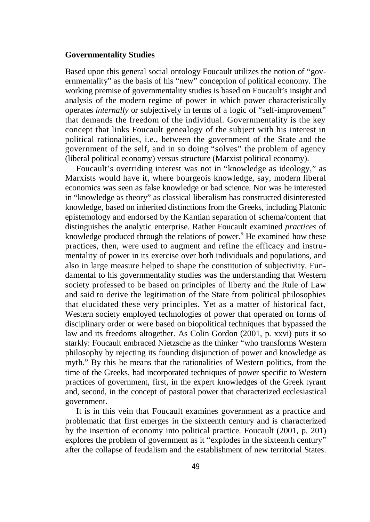#### **Governmentality Studies**

Based upon this general social ontology Foucault utilizes the notion of "governmentality" as the basis of his "new" conception of political economy. The working premise of governmentality studies is based on Foucault's insight and analysis of the modern regime of power in which power characteristically operates *internally* or subjectively in terms of a logic of "self-improvement" that demands the freedom of the individual. Governmentality is the key concept that links Foucault genealogy of the subject with his interest in political rationalities, i.e., between the government of the State and the government of the self, and in so doing "solves" the problem of agency (liberal political economy) versus structure (Marxist political economy).

Foucault's overriding interest was not in "knowledge as ideology," as Marxists would have it, where bourgeois knowledge, say, modern liberal economics was seen as false knowledge or bad science. Nor was he interested in "knowledge as theory" as classical liberalism has constructed disinterested knowledge, based on inherited distinctions from the Greeks, including Platonic epistemology and endorsed by the Kantian separation of schema/content that distinguishes the analytic enterprise. Rather Foucault examined *practices* of knowledge produced through the relations of power.<sup>9</sup> He examined how these practices, then, were used to augment and refine the efficacy and instrumentality of power in its exercise over both individuals and populations, and also in large measure helped to shape the constitution of subjectivity. Fundamental to his governmentality studies was the understanding that Western society professed to be based on principles of liberty and the Rule of Law and said to derive the legitimation of the State from political philosophies that elucidated these very principles. Yet as a matter of historical fact, Western society employed technologies of power that operated on forms of disciplinary order or were based on biopolitical techniques that bypassed the law and its freedoms altogether. As Colin Gordon (2001, p. xxvi) puts it so starkly: Foucault embraced Nietzsche as the thinker "who transforms Western philosophy by rejecting its founding disjunction of power and knowledge as myth." By this he means that the rationalities of Western politics, from the time of the Greeks, had incorporated techniques of power specific to Western practices of government, first, in the expert knowledges of the Greek tyrant and, second, in the concept of pastoral power that characterized ecclesiastical government.

It is in this vein that Foucault examines government as a practice and problematic that first emerges in the sixteenth century and is characterized by the insertion of economy into political practice. Foucault (2001, p. 201) explores the problem of government as it "explodes in the sixteenth century" after the collapse of feudalism and the establishment of new territorial States.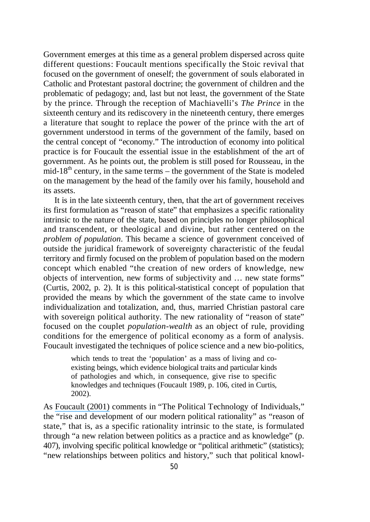Government emerges at this time as a general problem dispersed across quite different questions: Foucault mentions specifically the Stoic revival that focused on the government of oneself; the government of souls elaborated in Catholic and Protestant pastoral doctrine; the government of children and the problematic of pedagogy; and, last but not least, the government of the State by the prince. Through the reception of Machiavelli's *The Prince* in the sixteenth century and its rediscovery in the nineteenth century, there emerges a literature that sought to replace the power of the prince with the art of government understood in terms of the government of the family, based on the central concept of "economy." The introduction of economy into political practice is for Foucault the essential issue in the establishment of the art of government. As he points out, the problem is still posed for Rousseau, in the  $mid-18<sup>th</sup>$  century, in the same terms – the government of the State is modeled on the management by the head of the family over his family, household and its assets.

It is in the late sixteenth century, then, that the art of government receives its first formulation as "reason of state" that emphasizes a specific rationality intrinsic to the nature of the state, based on principles no longer philosophical and transcendent, or theological and divine, but rather centered on the *problem of population*. This became a science of government conceived of outside the juridical framework of sovereignty characteristic of the feudal territory and firmly focused on the problem of population based on the modern concept which enabled "the creation of new orders of knowledge, new objects of intervention, new forms of subjectivity and … new state forms" (Curtis, 2002, p. 2). It is this political-statistical concept of population that provided the means by which the government of the state came to involve individualization and totalization, and, thus, married Christian pastoral care with sovereign political authority. The new rationality of "reason of state" focused on the couplet *population-wealth* as an object of rule, providing conditions for the emergence of political economy as a form of analysis. Foucault investigated the techniques of police science and a new bio-politics,

> which tends to treat the 'population' as a mass of living and coexisting beings, which evidence biological traits and particular kinds of pathologies and which, in consequence, give rise to specific knowledges and techniques (Foucault 1989, p. 106, cited in Curtis, 2002).

As [Foucault \(2001\)](https://www.researchgate.net/publication/291216928_A_preface_to_transgression?el=1_x_8&enrichId=rgreq-5c0861254901ea5db99325379f694d5d-XXX&enrichSource=Y292ZXJQYWdlOzI4MzEzMjYzNTtBUzozNTA3ODY2Nzc2OTAzNjhAMTQ2MDY0NTQ2OTc3NQ==) comments in "The Political Technology of Individuals," the "rise and development of our modern political rationality" as "reason of state," that is, as a specific rationality intrinsic to the state, is formulated through "a new relation between politics as a practice and as knowledge" (p. 407), involving specific political knowledge or "political arithmetic" (statistics); "new relationships between politics and history," such that political knowl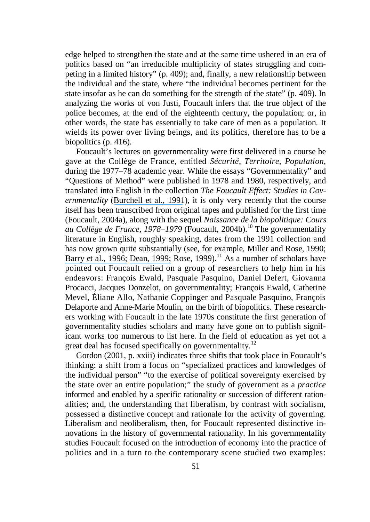edge helped to strengthen the state and at the same time ushered in an era of politics based on "an irreducible multiplicity of states struggling and competing in a limited history" (p. 409); and, finally, a new relationship between the individual and the state, where "the individual becomes pertinent for the state insofar as he can do something for the strength of the state" (p. 409). In analyzing the works of von Justi, Foucault infers that the true object of the police becomes, at the end of the eighteenth century, the population; or, in other words, the state has essentially to take care of men as a population. It wields its power over living beings, and its politics, therefore has to be a biopolitics (p. 416).

Foucault's lectures on governmentality were first delivered in a course he gave at the Collège de France, entitled *Sécurité, Territoire, Population*, during the 1977–78 academic year. While the essays "Governmentality" and "Questions of Method" were published in 1978 and 1980, respectively, and translated into English in the collection *The Foucault Effect: Studies in Governmentality* ([Burchell et al., 1991](https://www.researchgate.net/publication/37691883_The_Foucault_Effect_Studies_in_Governmentality?el=1_x_8&enrichId=rgreq-5c0861254901ea5db99325379f694d5d-XXX&enrichSource=Y292ZXJQYWdlOzI4MzEzMjYzNTtBUzozNTA3ODY2Nzc2OTAzNjhAMTQ2MDY0NTQ2OTc3NQ==)), it is only very recently that the course itself has been transcribed from original tapes and published for the first time (Foucault, 2004a), along with the sequel *Naissance de la biopolitique: Cours au Collège de France, 1978*–*1979* (Foucault, 2004b).<sup>10</sup> The governmentality literature in English, roughly speaking, dates from the 1991 collection and has now grown quite substantially (see, for example, Miller and Rose, 1990; [Barry et al., 1996;](https://www.researchgate.net/publication/37691410_Foucault_and_Political_Reason_Liberalism_Neo-Liberalism_and_Rationalities_of_Government?el=1_x_8&enrichId=rgreq-5c0861254901ea5db99325379f694d5d-XXX&enrichSource=Y292ZXJQYWdlOzI4MzEzMjYzNTtBUzozNTA3ODY2Nzc2OTAzNjhAMTQ2MDY0NTQ2OTc3NQ==) [Dean, 1999;](https://www.researchgate.net/publication/280802922_Governmentality_Power_and_Rule_in_Modern_Society?el=1_x_8&enrichId=rgreq-5c0861254901ea5db99325379f694d5d-XXX&enrichSource=Y292ZXJQYWdlOzI4MzEzMjYzNTtBUzozNTA3ODY2Nzc2OTAzNjhAMTQ2MDY0NTQ2OTc3NQ==) Rose, 1999).<sup>11</sup> As a number of scholars have pointed out Foucault relied on a group of researchers to help him in his endeavors: François Ewald, Pasquale Pasquino, Daniel Defert, Giovanna Procacci, Jacques Donzelot, on governmentality; François Ewald, Catherine Mevel, Éliane Allo, Nathanie Coppinger and Pasquale Pasquino, François Delaporte and Anne-Marie Moulin, on the birth of biopolitics. These researchers working with Foucault in the late 1970s constitute the first generation of governmentality studies scholars and many have gone on to publish significant works too numerous to list here. In the field of education as yet not a great deal has focused specifically on governmentality.<sup>12</sup>

Gordon (2001, p. xxiii) indicates three shifts that took place in Foucault's thinking: a shift from a focus on "specialized practices and knowledges of the individual person" "to the exercise of political sovereignty exercised by the state over an entire population;" the study of government as a *practice* informed and enabled by a specific rationality or succession of different rationalities; and, the understanding that liberalism, by contrast with socialism, possessed a distinctive concept and rationale for the activity of governing. Liberalism and neoliberalism, then, for Foucault represented distinctive innovations in the history of governmental rationality. In his governmentality studies Foucault focused on the introduction of economy into the practice of politics and in a turn to the contemporary scene studied two examples: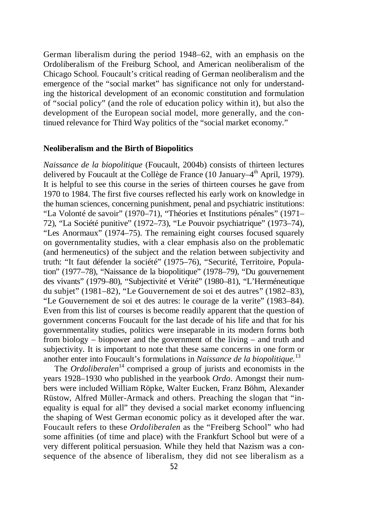German liberalism during the period 1948–62, with an emphasis on the Ordoliberalism of the Freiburg School, and American neoliberalism of the Chicago School. Foucault's critical reading of German neoliberalism and the emergence of the "social market" has significance not only for understanding the historical development of an economic constitution and formulation of "social policy" (and the role of education policy within it), but also the development of the European social model, more generally, and the continued relevance for Third Way politics of the "social market economy."

#### **Neoliberalism and the Birth of Biopolitics**

*Naissance de la biopolitique* (Foucault, 2004b) consists of thirteen lectures delivered by Foucault at the Collège de France (10 January–4<sup>th</sup> April, 1979). It is helpful to see this course in the series of thirteen courses he gave from 1970 to 1984. The first five courses reflected his early work on knowledge in the human sciences, concerning punishment, penal and psychiatric institutions: "La Volonté de savoir" (1970–71), "Théories et Institutions pénales" (1971– 72), "La Société punitive" (1972–73), "Le Pouvoir psychiatrique" (1973–74), "Les Anormaux" (1974–75). The remaining eight courses focused squarely on governmentality studies, with a clear emphasis also on the problematic (and hermeneutics) of the subject and the relation between subjectivity and truth: "It faut défender la société" (1975–76), "Securité, Territoire, Population" (1977–78), "Naissance de la biopolitique" (1978–79), "Du gouvernement des vivants" (1979–80), "Subjectivité et Vérité" (1980–81), "L'Herméneutique du subjet" (1981–82), "Le Gouvernement de soi et des autres" (1982–83), "Le Gouvernement de soi et des autres: le courage de la verite" (1983–84). Even from this list of courses is become readily apparent that the question of government concerns Foucault for the last decade of his life and that for his governmentality studies, politics were inseparable in its modern forms both from biology – biopower and the government of the living – and truth and subjectivity. It is important to note that these same concerns in one form or another enter into Foucault's formulations in *Naissance de la biopolitique.*<sup>13</sup>

The *Ordoliberalen*<sup>14</sup> comprised a group of jurists and economists in the years 1928–1930 who published in the yearbook *Ordo*. Amongst their numbers were included William Röpke, Walter Eucken, Franz Böhm, Alexander Rüstow, Alfred Müller-Armack and others. Preaching the slogan that "inequality is equal for all" they devised a social market economy influencing the shaping of West German economic policy as it developed after the war. Foucault refers to these *Ordoliberalen* as the "Freiberg School" who had some affinities (of time and place) with the Frankfurt School but were of a very different political persuasion. While they held that Nazism was a consequence of the absence of liberalism, they did not see liberalism as a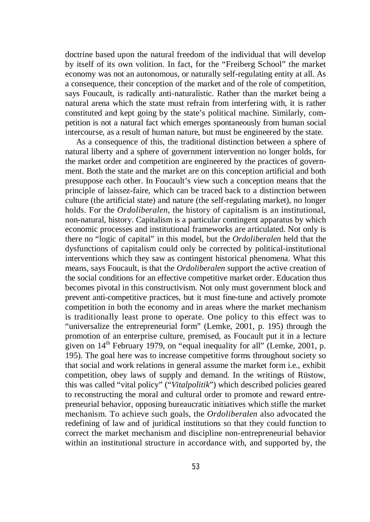doctrine based upon the natural freedom of the individual that will develop by itself of its own volition. In fact, for the "Freiberg School" the market economy was not an autonomous, or naturally self-regulating entity at all. As a consequence, their conception of the market and of the role of competition, says Foucault, is radically anti-naturalistic. Rather than the market being a natural arena which the state must refrain from interfering with, it is rather constituted and kept going by the state's political machine. Similarly, competition is not a natural fact which emerges spontaneously from human social intercourse, as a result of human nature, but must be engineered by the state.

As a consequence of this, the traditional distinction between a sphere of natural liberty and a sphere of government intervention no longer holds, for the market order and competition are engineered by the practices of government. Both the state and the market are on this conception artificial and both presuppose each other. In Foucault's view such a conception means that the principle of laissez-faire, which can be traced back to a distinction between culture (the artificial state) and nature (the self-regulating market), no longer holds. For the *Ordoliberalen*, the history of capitalism is an institutional, non-natural, history. Capitalism is a particular contingent apparatus by which economic processes and institutional frameworks are articulated. Not only is there no "logic of capital" in this model, but the *Ordoliberalen* held that the dysfunctions of capitalism could only be corrected by political-institutional interventions which they saw as contingent historical phenomena. What this means, says Foucault, is that the *Ordoliberalen* support the active creation of the social conditions for an effective competitive market order. Education thus becomes pivotal in this constructivism. Not only must government block and prevent anti-competitive practices, but it must fine-tune and actively promote competition in both the economy and in areas where the market mechanism is traditionally least prone to operate. One policy to this effect was to "universalize the entrepreneurial form" (Lemke, 2001, p. 195) through the promotion of an enterprise culture, premised, as Foucault put it in a lecture given on  $14<sup>th</sup>$  February 1979, on "equal inequality for all" (Lemke, 2001, p. 195). The goal here was to increase competitive forms throughout society so that social and work relations in general assume the market form i.e., exhibit competition, obey laws of supply and demand. In the writings of Rüstow, this was called "vital policy" ("*Vitalpolitik*") which described policies geared to reconstructing the moral and cultural order to promote and reward entrepreneurial behavior, opposing bureaucratic initiatives which stifle the market mechanism. To achieve such goals, the *Ordoliberalen* also advocated the redefining of law and of juridical institutions so that they could function to correct the market mechanism and discipline non-entrepreneurial behavior within an institutional structure in accordance with, and supported by, the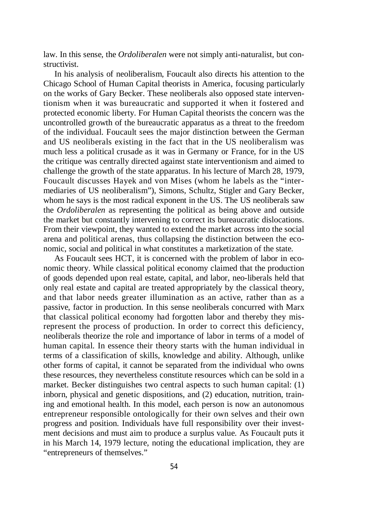law. In this sense, the *Ordoliberalen* were not simply anti-naturalist, but constructivist.

In his analysis of neoliberalism, Foucault also directs his attention to the Chicago School of Human Capital theorists in America, focusing particularly on the works of Gary Becker. These neoliberals also opposed state interventionism when it was bureaucratic and supported it when it fostered and protected economic liberty. For Human Capital theorists the concern was the uncontrolled growth of the bureaucratic apparatus as a threat to the freedom of the individual. Foucault sees the major distinction between the German and US neoliberals existing in the fact that in the US neoliberalism was much less a political crusade as it was in Germany or France, for in the US the critique was centrally directed against state interventionism and aimed to challenge the growth of the state apparatus. In his lecture of March 28, 1979, Foucault discusses Hayek and von Mises (whom he labels as the "intermediaries of US neoliberalism"), Simons, Schultz, Stigler and Gary Becker, whom he says is the most radical exponent in the US. The US neoliberals saw the *Ordoliberalen* as representing the political as being above and outside the market but constantly intervening to correct its bureaucratic dislocations. From their viewpoint, they wanted to extend the market across into the social arena and political arenas, thus collapsing the distinction between the economic, social and political in what constitutes a marketization of the state.

As Foucault sees HCT, it is concerned with the problem of labor in economic theory. While classical political economy claimed that the production of goods depended upon real estate, capital, and labor, neo-liberals held that only real estate and capital are treated appropriately by the classical theory, and that labor needs greater illumination as an active, rather than as a passive, factor in production. In this sense neoliberals concurred with Marx that classical political economy had forgotten labor and thereby they misrepresent the process of production. In order to correct this deficiency, neoliberals theorize the role and importance of labor in terms of a model of human capital. In essence their theory starts with the human individual in terms of a classification of skills, knowledge and ability. Although, unlike other forms of capital, it cannot be separated from the individual who owns these resources, they nevertheless constitute resources which can be sold in a market. Becker distinguishes two central aspects to such human capital: (1) inborn, physical and genetic dispositions, and (2) education, nutrition, training and emotional health. In this model, each person is now an autonomous entrepreneur responsible ontologically for their own selves and their own progress and position. Individuals have full responsibility over their investment decisions and must aim to produce a surplus value. As Foucault puts it in his March 14, 1979 lecture, noting the educational implication, they are "entrepreneurs of themselves."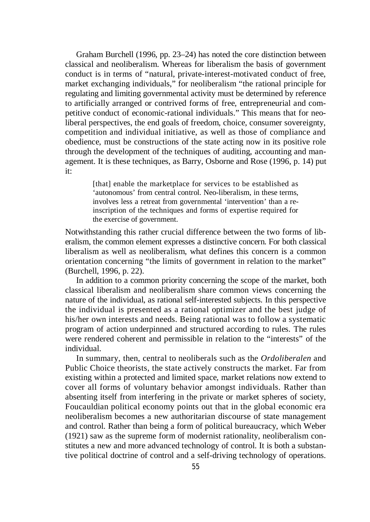Graham Burchell (1996, pp. 23–24) has noted the core distinction between classical and neoliberalism. Whereas for liberalism the basis of government conduct is in terms of "natural, private-interest-motivated conduct of free, market exchanging individuals," for neoliberalism "the rational principle for regulating and limiting governmental activity must be determined by reference to artificially arranged or contrived forms of free, entrepreneurial and competitive conduct of economic-rational individuals." This means that for neoliberal perspectives, the end goals of freedom, choice, consumer sovereignty, competition and individual initiative, as well as those of compliance and obedience, must be constructions of the state acting now in its positive role through the development of the techniques of auditing, accounting and management. It is these techniques, as Barry, Osborne and Rose (1996, p. 14) put it:

> [that] enable the marketplace for services to be established as 'autonomous' from central control. Neo-liberalism, in these terms, involves less a retreat from governmental 'intervention' than a reinscription of the techniques and forms of expertise required for the exercise of government.

Notwithstanding this rather crucial difference between the two forms of liberalism, the common element expresses a distinctive concern. For both classical liberalism as well as neoliberalism, what defines this concern is a common orientation concerning "the limits of government in relation to the market" (Burchell, 1996, p. 22).

In addition to a common priority concerning the scope of the market, both classical liberalism and neoliberalism share common views concerning the nature of the individual, as rational self-interested subjects. In this perspective the individual is presented as a rational optimizer and the best judge of his/her own interests and needs. Being rational was to follow a systematic program of action underpinned and structured according to rules. The rules were rendered coherent and permissible in relation to the "interests" of the individual.

In summary, then, central to neoliberals such as the *Ordoliberalen* and Public Choice theorists, the state actively constructs the market. Far from existing within a protected and limited space, market relations now extend to cover all forms of voluntary behavior amongst individuals. Rather than absenting itself from interfering in the private or market spheres of society, Foucauldian political economy points out that in the global economic era neoliberalism becomes a new authoritarian discourse of state management and control. Rather than being a form of political bureaucracy, which Weber (1921) saw as the supreme form of modernist rationality, neoliberalism constitutes a new and more advanced technology of control. It is both a substantive political doctrine of control and a self-driving technology of operations.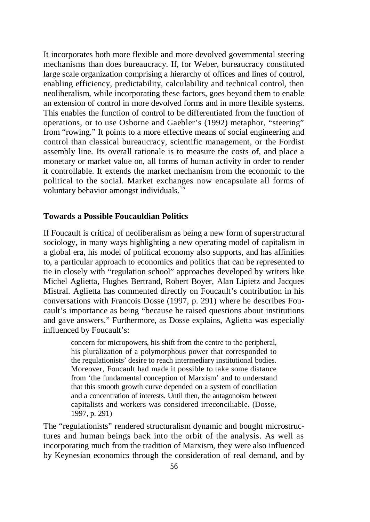It incorporates both more flexible and more devolved governmental steering mechanisms than does bureaucracy. If, for Weber, bureaucracy constituted large scale organization comprising a hierarchy of offices and lines of control, enabling efficiency, predictability, calculability and technical control, then neoliberalism, while incorporating these factors, goes beyond them to enable an extension of control in more devolved forms and in more flexible systems. This enables the function of control to be differentiated from the function of operations, or to use Osborne and Gaebler's (1992) metaphor, "steering" from "rowing." It points to a more effective means of social engineering and control than classical bureaucracy, scientific management, or the Fordist assembly line. Its overall rationale is to measure the costs of, and place a monetary or market value on, all forms of human activity in order to render it controllable. It extends the market mechanism from the economic to the political to the social. Market exchanges now encapsulate all forms of voluntary behavior amongst individuals.<sup>15</sup>

## **Towards a Possible Foucauldian Politics**

If Foucault is critical of neoliberalism as being a new form of superstructural sociology, in many ways highlighting a new operating model of capitalism in a global era, his model of political economy also supports, and has affinities to, a particular approach to economics and politics that can be represented to tie in closely with "regulation school" approaches developed by writers like Michel Aglietta, Hughes Bertrand, Robert Boyer, Alan Lipietz and Jacques Mistral. Aglietta has commented directly on Foucault's contribution in his conversations with Francois Dosse (1997, p. 291) where he describes Foucault's importance as being "because he raised questions about institutions and gave answers." Furthermore, as Dosse explains, Aglietta was especially influenced by Foucault's:

> concern for micropowers, his shift from the centre to the peripheral, his pluralization of a polymorphous power that corresponded to the regulationists' desire to reach intermediary institutional bodies. Moreover, Foucault had made it possible to take some distance from 'the fundamental conception of Marxism' and to understand that this smooth growth curve depended on a system of conciliation and a concentration of interests. Until then, the antagonoism between capitalists and workers was considered irreconciliable. (Dosse, 1997, p. 291)

The "regulationists" rendered structuralism dynamic and bought microstructures and human beings back into the orbit of the analysis. As well as incorporating much from the tradition of Marxism, they were also influenced by Keynesian economics through the consideration of real demand, and by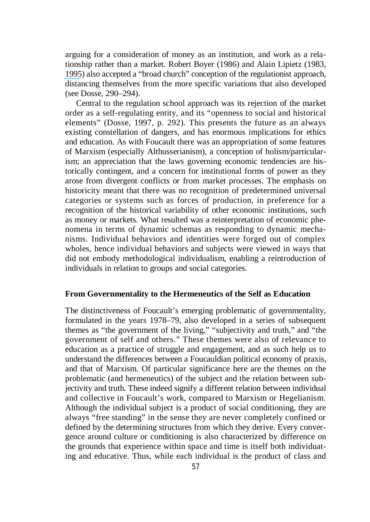arguing for a consideration of money as an institution, and work as a relationship rather than a market. Robert Boyer (1986) and Alain Lipietz (1983, [1995](https://www.researchgate.net/publication/276018697_Green_Hopes_The_Future_of_Political_Ecology?el=1_x_8&enrichId=rgreq-5c0861254901ea5db99325379f694d5d-XXX&enrichSource=Y292ZXJQYWdlOzI4MzEzMjYzNTtBUzozNTA3ODY2Nzc2OTAzNjhAMTQ2MDY0NTQ2OTc3NQ==)) also accepted a "broad church" conception of the regulationist approach, distancing themselves from the more specific variations that also developed (see Dosse, 290–294).

Central to the regulation school approach was its rejection of the market order as a self-regulating entity, and its "openness to social and historical elements" (Dosse, 1997, p. 292). This presents the future as an always existing constellation of dangers, and has enormous implications for ethics and education. As with Foucault there was an appropriation of some features of Marxism (especially Althusserianism), a conception of holism/particularism; an appreciation that the laws governing economic tendencies are historically contingent, and a concern for institutional forms of power as they arose from divergent conflicts or from market processes. The emphasis on historicity meant that there was no recognition of predetermined universal categories or systems such as forces of production, in preference for a recognition of the historical variability of other economic institutions, such as money or markets. What resulted was a reinterpretation of economic phenomena in terms of dynamic schemas as responding to dynamic mechanisms. Individual behaviors and identities were forged out of complex wholes, hence individual behaviors and subjects were viewed in ways that did not embody methodological individualism, enabling a reintroduction of individuals in relation to groups and social categories.

### **From Governmentality to the Hermeneutics of the Self as Education**

The distinctiveness of Foucault's emerging problematic of governmentality, formulated in the years 1978–79, also developed in a series of subsequent themes as "the government of the living," "subjectivity and truth," and "the government of self and others." These themes were also of relevance to education as a practice of struggle and engagement, and as such help us to understand the differences between a Foucauldian political economy of praxis, and that of Marxism. Of particular significance here are the themes on the problematic (and hermeneutics) of the subject and the relation between subjectivity and truth. These indeed signify a different relation between individual and collective in Foucault's work, compared to Marxism or Hegelianism. Although the individual subject is a product of social conditioning, they are always "free standing" in the sense they are never completely confined or defined by the determining structures from which they derive. Every convergence around culture or conditioning is also characterized by difference on the grounds that experience within space and time is itself both individuating and educative. Thus, while each individual is the product of class and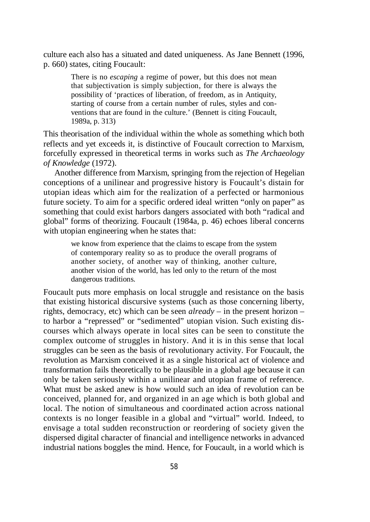culture each also has a situated and dated uniqueness. As Jane Bennett (1996, p. 660) states, citing Foucault:

> There is no *escaping* a regime of power, but this does not mean that subjectivation is simply subjection, for there is always the possibility of 'practices of liberation, of freedom, as in Antiquity, starting of course from a certain number of rules, styles and conventions that are found in the culture.' (Bennett is citing Foucault, 1989a, p. 313)

This theorisation of the individual within the whole as something which both reflects and yet exceeds it, is distinctive of Foucault correction to Marxism, forcefully expressed in theoretical terms in works such as *The Archaeology of Knowledge* (1972).

Another difference from Marxism, springing from the rejection of Hegelian conceptions of a unilinear and progressive history is Foucault's distain for utopian ideas which aim for the realization of a perfected or harmonious future society. To aim for a specific ordered ideal written "only on paper" as something that could exist harbors dangers associated with both "radical and global" forms of theorizing. Foucault (1984a, p. 46) echoes liberal concerns with utopian engineering when he states that:

> we know from experience that the claims to escape from the system of contemporary reality so as to produce the overall programs of another society, of another way of thinking, another culture, another vision of the world, has led only to the return of the most dangerous traditions.

Foucault puts more emphasis on local struggle and resistance on the basis that existing historical discursive systems (such as those concerning liberty, rights, democracy, etc) which can be seen *already* – in the present horizon – to harbor a "repressed" or "sedimented" utopian vision. Such existing discourses which always operate in local sites can be seen to constitute the complex outcome of struggles in history. And it is in this sense that local struggles can be seen as the basis of revolutionary activity. For Foucault, the revolution as Marxism conceived it as a single historical act of violence and transformation fails theoretically to be plausible in a global age because it can only be taken seriously within a unilinear and utopian frame of reference. What must be asked anew is how would such an idea of revolution can be conceived, planned for, and organized in an age which is both global and local. The notion of simultaneous and coordinated action across national contexts is no longer feasible in a global and "virtual" world. Indeed, to envisage a total sudden reconstruction or reordering of society given the dispersed digital character of financial and intelligence networks in advanced industrial nations boggles the mind. Hence, for Foucault, in a world which is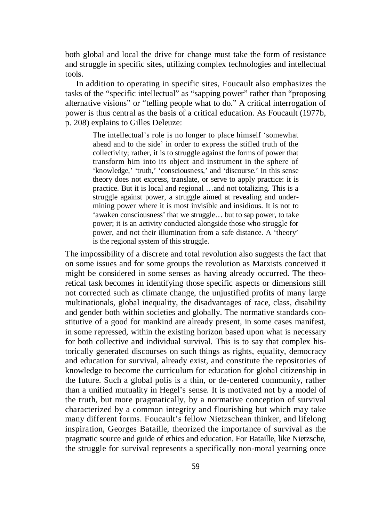both global and local the drive for change must take the form of resistance and struggle in specific sites, utilizing complex technologies and intellectual tools.

In addition to operating in specific sites, Foucault also emphasizes the tasks of the "specific intellectual" as "sapping power" rather than "proposing alternative visions" or "telling people what to do." A critical interrogation of power is thus central as the basis of a critical education. As Foucault (1977b, p. 208) explains to Gilles Deleuze:

> The intellectual's role is no longer to place himself 'somewhat ahead and to the side' in order to express the stifled truth of the collectivity; rather, it is to struggle against the forms of power that transform him into its object and instrument in the sphere of 'knowledge,' 'truth,' 'consciousness,' and 'discourse.' In this sense theory does not express, translate, or serve to apply practice: it is practice. But it is local and regional …and not totalizing. This is a struggle against power, a struggle aimed at revealing and undermining power where it is most invisible and insidious. It is not to 'awaken consciousness' that we struggle… but to sap power, to take power; it is an activity conducted alongside those who struggle for power, and not their illumination from a safe distance. A 'theory' is the regional system of this struggle.

The impossibility of a discrete and total revolution also suggests the fact that on some issues and for some groups the revolution as Marxists conceived it might be considered in some senses as having already occurred. The theoretical task becomes in identifying those specific aspects or dimensions still not corrected such as climate change, the unjustified profits of many large multinationals, global inequality, the disadvantages of race, class, disability and gender both within societies and globally. The normative standards constitutive of a good for mankind are already present, in some cases manifest, in some repressed, within the existing horizon based upon what is necessary for both collective and individual survival. This is to say that complex historically generated discourses on such things as rights, equality, democracy and education for survival, already exist, and constitute the repositories of knowledge to become the curriculum for education for global citizenship in the future. Such a global polis is a thin, or de-centered community, rather than a unified mutuality in Hegel's sense. It is motivated not by a model of the truth, but more pragmatically, by a normative conception of survival characterized by a common integrity and flourishing but which may take many different forms. Foucault's fellow Nietzschean thinker, and lifelong inspiration, Georges Bataille, theorized the importance of survival as the pragmatic source and guide of ethics and education. For Bataille, like Nietzsche, the struggle for survival represents a specifically non-moral yearning once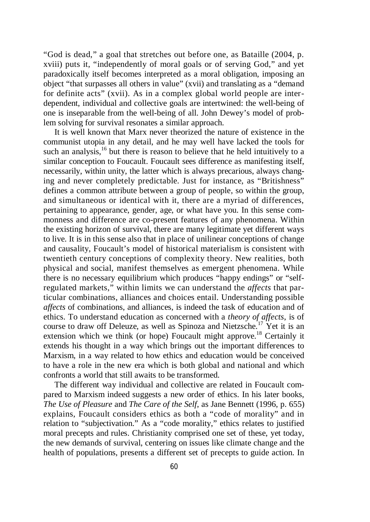"God is dead," a goal that stretches out before one, as Bataille (2004, p. xviii) puts it, "independently of moral goals or of serving God," and yet paradoxically itself becomes interpreted as a moral obligation, imposing an object "that surpasses all others in value" (xvii) and translating as a "demand for definite acts" (xvii). As in a complex global world people are interdependent, individual and collective goals are intertwined: the well-being of one is inseparable from the well-being of all. John Dewey's model of problem solving for survival resonates a similar approach.

It is well known that Marx never theorized the nature of existence in the communist utopia in any detail, and he may well have lacked the tools for such an analysis, $16$  but there is reason to believe that he held intuitively to a similar conception to Foucault. Foucault sees difference as manifesting itself, necessarily, within unity, the latter which is always precarious, always changing and never completely predictable. Just for instance, as "Britishness" defines a common attribute between a group of people, so within the group, and simultaneous or identical with it, there are a myriad of differences, pertaining to appearance, gender, age, or what have you. In this sense commonness and difference are co-present features of any phenomena. Within the existing horizon of survival, there are many legitimate yet different ways to live. It is in this sense also that in place of unilinear conceptions of change and causality, Foucault's model of historical materialism is consistent with twentieth century conceptions of complexity theory. New realities, both physical and social, manifest themselves as emergent phenomena. While there is no necessary equilibrium which produces "happy endings" or "selfregulated markets," within limits we can understand the *affects* that particular combinations, alliances and choices entail. Understanding possible *affects* of combinations, and alliances, is indeed the task of education and of ethics. To understand education as concerned with a *theory of affects*, is of course to draw off Deleuze, as well as Spinoza and Nietzsche.<sup>17</sup> Yet it is an extension which we think (or hope) Foucault might approve.<sup>18</sup> Certainly it extends his thought in a way which brings out the important differences to Marxism, in a way related to how ethics and education would be conceived to have a role in the new era which is both global and national and which confronts a world that still awaits to be transformed.

The different way individual and collective are related in Foucault compared to Marxism indeed suggests a new order of ethics. In his later books, *The Use of Pleasure* and *The Care of the Self*, as Jane Bennett (1996, p. 655) explains, Foucault considers ethics as both a "code of morality" and in relation to "subjectivation." As a "code morality," ethics relates to justified moral precepts and rules. Christianity comprised one set of these, yet today, the new demands of survival, centering on issues like climate change and the health of populations, presents a different set of precepts to guide action. In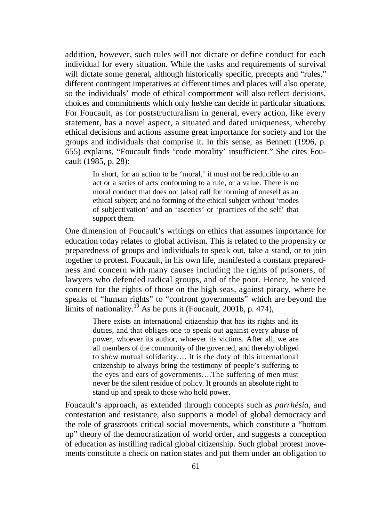addition, however, such rules will not dictate or define conduct for each individual for every situation. While the tasks and requirements of survival will dictate some general, although historically specific, precepts and "rules," different contingent imperatives at different times and places will also operate, so the individuals' mode of ethical comportment will also reflect decisions, choices and commitments which only he/she can decide in particular situations. For Foucault, as for poststructuralism in general, every action, like every statement, has a novel aspect, a situated and dated uniqueness, whereby ethical decisions and actions assume great importance for society and for the groups and individuals that comprise it. In this sense, as Bennett (1996, p. 655) explains, "Foucault finds 'code morality' insufficient." She cites Foucault (1985, p. 28):

> In short, for an action to be 'moral,' it must not be reducible to an act or a series of acts conforming to a rule, or a value. There is no moral conduct that does not [also] call for forming of oneself as an ethical subject; and no forming of the ethical subject without 'modes of subjectivation' and an 'ascetics' or 'practices of the self' that support them.

One dimension of Foucault's writings on ethics that assumes importance for education today relates to global activism. This is related to the propensity or preparedness of groups and individuals to speak out, take a stand, or to join together to protest. Foucault, in his own life, manifested a constant preparedness and concern with many causes including the rights of prisoners, of lawyers who defended radical groups, and of the poor. Hence, he voiced concern for the rights of those on the high seas, against piracy, where he speaks of "human rights" to "confront governments" which are beyond the limits of nationality.<sup>19</sup> As he puts it (Foucault, 2001b, p. 474),

> There exists an international citizenship that has its rights and its duties, and that obliges one to speak out against every abuse of power, whoever its author, whoever its victims. After all, we are all members of the community of the governed, and thereby obliged to show mutual solidarity…. It is the duty of this international citizenship to always bring the testimony of people's suffering to the eyes and ears of governments….The suffering of men must never be the silent residue of policy. It grounds an absolute right to stand up and speak to those who hold power.

Foucault's approach, as extended through concepts such as *parrhésia*, and contestation and resistance, also supports a model of global democracy and the role of grassroots critical social movements, which constitute a "bottom up" theory of the democratization of world order, and suggests a conception of education as instilling radical global citizenship. Such global protest movements constitute a check on nation states and put them under an obligation to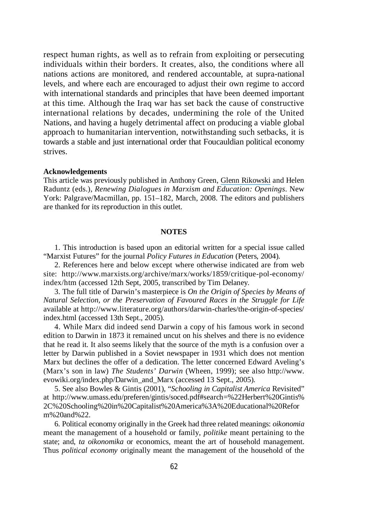respect human rights, as well as to refrain from exploiting or persecuting individuals within their borders. It creates, also, the conditions where all nations actions are monitored, and rendered accountable, at supra-national levels, and where each are encouraged to adjust their own regime to accord with international standards and principles that have been deemed important at this time. Although the Iraq war has set back the cause of constructive international relations by decades, undermining the role of the United Nations, and having a hugely detrimental affect on producing a viable global approach to humanitarian intervention, notwithstanding such setbacks, it is towards a stable and just international order that Foucauldian political economy strives.

#### **Acknowledgements**

This article was previously published in Anthony Green, [Glenn Rikowski](https://www.researchgate.net/profile/Glenn_Rikowski?el=1_x_11&enrichId=rgreq-5c0861254901ea5db99325379f694d5d-XXX&enrichSource=Y292ZXJQYWdlOzI4MzEzMjYzNTtBUzozNTA3ODY2Nzc2OTAzNjhAMTQ2MDY0NTQ2OTc3NQ==) and Helen Raduntz (eds.), *Renewing Dialogues in Marxism and Education: Openings*. New York: Palgrave/Macmillan, pp. 151–182, March, 2008. The editors and publishers are thanked for its reproduction in this outlet.

#### **NOTES**

1. This introduction is based upon an editorial written for a special issue called "Marxist Futures" for the journal *Policy Futures in Education* (Peters, 2004).

2. References here and below except where otherwise indicated are from web site: http://www.marxists.org/archive/marx/works/1859/critique-pol-economy/ index/htm (accessed 12th Sept, 2005, transcribed by Tim Delaney.

3. The full title of Darwin's masterpiece is *On the Origin of Species by Means of Natural Selection, or the Preservation of Favoured Races in the Struggle for Life* available at http://www.literature.org/authors/darwin-charles/the-origin-of-species/ index.html (accessed 13th Sept., 2005).

4. While Marx did indeed send Darwin a copy of his famous work in second edition to Darwin in 1873 it remained uncut on his shelves and there is no evidence that he read it. It also seems likely that the source of the myth is a confusion over a letter by Darwin published in a Soviet newspaper in 1931 which does not mention Marx but declines the offer of a dedication. The letter concerned Edward Aveling's (Marx's son in law) *The Students' Darwin* (Wheen, 1999); see also http://www. evowiki.org/index.php/Darwin\_and\_Marx (accessed 13 Sept., 2005).

5. See also Bowles & Gintis (2001), "*Schooling in Capitalist America* Revisited" at http://www.umass.edu/preferen/gintis/soced.pdf#search=%22Herbert%20Gintis% 2C%20Schooling%20in%20Capitalist%20America%3A%20Educational%20Refor m%20and%22.

6. Political economy originally in the Greek had three related meanings: *oikonomia* meant the management of a household or family, *politike* meant pertaining to the state; and, *ta oikonomika* or economics, meant the art of household management. Thus *political economy* originally meant the management of the household of the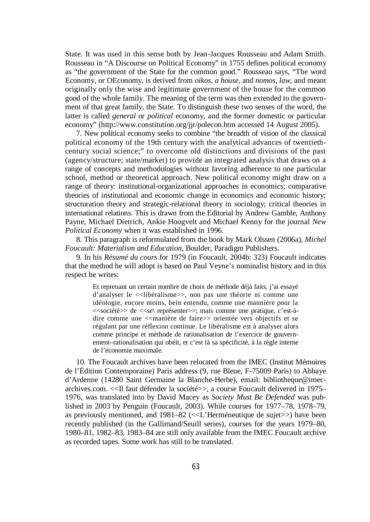State. It was used in this sense both by Jean-Jacques Rousseau and Adam Smith. Rousseau in "A Discourse on Political Economy" in 1755 defines political economy as "the government of the State for the common good." Rousseau says, "The word Economy, or OEconomy, is derived from *oikos, a house*, and *nomos, law*, and meant originally only the wise and legitimate government of the house for the common good of the whole family. The meaning of the term was then extended to the government of that great family, the State. To distinguish these two senses of the word, the latter is called *general* or *political* economy, and the former domestic or particular economy" (http://www.constitution.org/jjr/polecon.htm accessed 14 August 2005).

7. New political economy seeks to combine "the breadth of vision of the classical political economy of the 19th century with the analytical advances of twentiethcentury social science;" to overcome old distinctions and divisions of the past (agency/structure; state/market) to provide an integrated analysis that draws on a range of concepts and methodologies without favoring adherence to one particular school, method or theoretical approach. New political economy might draw on a range of theory: institutional-organizational approaches in economics; comparative theories of institutional and economic change in economics and economic history; structuration theory and strategic-relational theory in sociology; critical theories in international relations. This is drawn from the Editorial by Andrew Gamble, Anthony Payne, Michael Dietrich, Ankie Hoogvelt and Michael Kenny for the journal *New Political Economy* when it was established in 1996.

8. This paragraph is reformulated from the book by Mark Olssen (2006a), *Michel Foucault: Materialism and Education*, Boulder, Paradigm Publishers.

9. In his *Résumé du cours* for 1979 (in Foucault, 2004b: 323) Foucault indicates that the method he will adopt is based on Paul Veyne's nominalist history and in this respect he writes:

> Et reprenant un certain nombre de choix de méthode déjà faits, j'ai essayé d'analyser le <<libéralisme>>, non pas une théorie ni comme une idéologie, encore moins, bein entendu, comme une mannière pour la <<société>> de <<se\ représenter>>; mais comme une pratique, c'est-àdire comme une <<manière de faire>> orientée vers objectifs et se régulant par une réflexion continue. Le libéralisme est à analyser alors comme principe et méthode de rationalisation de l'exercice de gouvernement–rationalisation qui obéit, et c'est là sa spécificité, à la règle interne de l'économie maximale.

10. The Foucault archives have been relocated from the IMEC (Institut Mémoires de l'Édition Contemporaine) Paris address (9, rue Bleue, F-75009 Paris) to Abbaye d'Ardenne (14280 Saint Germaine la Blanche-Herbe), email: bibliotheque@imecarchives.com. <<Il faut défender la société>>, a course Foucault delivered in 1975– 1976, was translated into by David Macey as *Society Must Be Defended* was published in 2003 by Penguin (Foucault, 2003). While courses for 1977–78, 1978–79, as previously mentioned, and 1981–82 (<<L'Herméneutique de sujet>>) have been recently published (in the Gallimand/Seuill series), courses for the years 1979–80, 1980–81, 1982–83, 1983–84 are still only available from the IMEC Foucault archive as recorded tapes. Some work has still to be translated.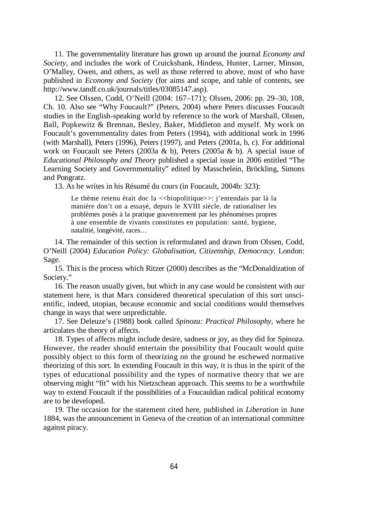11. The governmentality literature has grown up around the journal *Economy and Society*, and includes the work of Cruickshank, Hindess, Hunter, Larner, Minson, O'Malley, Owen, and others, as well as those referred to above, most of who have published in *Economy and Society* (for aims and scope, and table of contents, see http://www.tandf.co.uk/journals/titles/03085147.asp).

12. See Olssen, Codd, O'Neill (2004: 167–171); Olssen, 2006: pp. 29–30, 108, Ch. 10. Also see "Why Foucault?" (Peters, 2004) where Peters discusses Foucault studies in the English-speaking world by reference to the work of Marshall, Olssen, Ball, Popkewitz & Brennan, Besley, Baker, Middleton and myself. My work on Foucault's governmentality dates from Peters (1994), with additional work in 1996 (with Marshall), Peters (1996), Peters (1997), and Peters (2001a, b, c). For additional work on Foucault see Peters (2003a & b), Peters (2005a & b). A special issue of *Educational Philosophy and Theory* published a special issue in 2006 entitled "The Learning Society and Governmentality" edited by Masschelein, Bröckling, Simons and Pongratz.

13. As he writes in his Résumé du cours (in Foucault, 2004b: 323):

Le thème retenu était doc la <<biopolitique>>: j'entendais par là la manière don't on a essayé, depuis le XVIII siècle, de rationaliser les problèmes posés à la pratique gouvenrement par les phénomènes propres à une ensemble de vivants constitutes en population: santé, hygiene, natalitié, longévité, races…

14. The remainder of this section is reformulated and drawn from Olssen, Codd, O'Neill (2004) *Education Policy: Globalisation, Citizenship, Democracy.* London: Sage.

15. This is the process which Ritzer (2000) describes as the "McDonaldization of Society."

16. The reason usually given, but which in any case would be consistent with our statement here, is that Marx considered theoretical speculation of this sort unscientific, indeed, utopian, because economic and social conditions would themselves change in ways that were unpredictable.

17. See Deleuze's (1988) book called *Spinoza: Practical Philosophy*, where he articulates the theory of affects.

18. Types of affects might include desire, sadness or joy, as they did for Spinoza. However, the reader should entertain the possibility that Foucault would quite possibly object to this form of theorizing on the ground he eschewed normative theorizing of this sort. In extending Foucault in this way, it is thus in the spirit of the types of educational possibility and the types of normative theory that we are observing might "fit" with his Nietzschean approach. This seems to be a worthwhile way to extend Foucault if the possibilities of a Foucauldian radical political economy are to be developed.

19. The occasion for the statement cited here, published in *Liberation* in June 1884, was the announcement in Geneva of the creation of an international committee against piracy.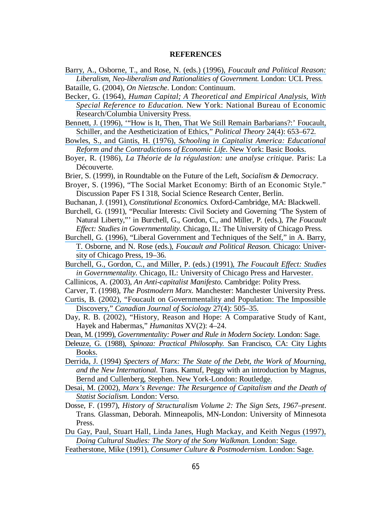#### **REFERENCES**

- [Barry, A., Osborne, T., and Rose, N. \(eds.\) \(1996\),](https://www.researchgate.net/publication/37691410_Foucault_and_Political_Reason_Liberalism_Neo-Liberalism_and_Rationalities_of_Government?el=1_x_8&enrichId=rgreq-5c0861254901ea5db99325379f694d5d-XXX&enrichSource=Y292ZXJQYWdlOzI4MzEzMjYzNTtBUzozNTA3ODY2Nzc2OTAzNjhAMTQ2MDY0NTQ2OTc3NQ==) *Foucault and Political Reason: [Liberalism, Neo-liberalism and Rationalities of Government.](https://www.researchgate.net/publication/37691410_Foucault_and_Political_Reason_Liberalism_Neo-Liberalism_and_Rationalities_of_Government?el=1_x_8&enrichId=rgreq-5c0861254901ea5db99325379f694d5d-XXX&enrichSource=Y292ZXJQYWdlOzI4MzEzMjYzNTtBUzozNTA3ODY2Nzc2OTAzNjhAMTQ2MDY0NTQ2OTc3NQ==)* London: UCL Press.
- Bataille, G. (2004), *On Nietzsche*. London: Continuum.
- Becker, G. (1964), *[Human Capital; A Theoretical and Empirical Analysis, With](https://www.researchgate.net/publication/37691458_Human_Capital_A_Theoretical_and_Empirical_Analysis_with_SpecialReference_to_Education?el=1_x_8&enrichId=rgreq-5c0861254901ea5db99325379f694d5d-XXX&enrichSource=Y292ZXJQYWdlOzI4MzEzMjYzNTtBUzozNTA3ODY2Nzc2OTAzNjhAMTQ2MDY0NTQ2OTc3NQ==) Special Reference to Education.* [New York: National Bureau of Economic](https://www.researchgate.net/publication/37691458_Human_Capital_A_Theoretical_and_Empirical_Analysis_with_SpecialReference_to_Education?el=1_x_8&enrichId=rgreq-5c0861254901ea5db99325379f694d5d-XXX&enrichSource=Y292ZXJQYWdlOzI4MzEzMjYzNTtBUzozNTA3ODY2Nzc2OTAzNjhAMTQ2MDY0NTQ2OTc3NQ==) [Research/Columbia University Press.](https://www.researchgate.net/publication/37691458_Human_Capital_A_Theoretical_and_Empirical_Analysis_with_SpecialReference_to_Education?el=1_x_8&enrichId=rgreq-5c0861254901ea5db99325379f694d5d-XXX&enrichSource=Y292ZXJQYWdlOzI4MzEzMjYzNTtBUzozNTA3ODY2Nzc2OTAzNjhAMTQ2MDY0NTQ2OTc3NQ==)
- [Bennett, J. \(1996\), '"How is It, Then, That We Still Remain Barbarians?:' Foucault,](https://www.researchgate.net/publication/249725079_How_is_it_Then_That_We_Still_Remain_Barbarians_Foucault_Schiller_and_the_Aestheticization_of_Ethics?el=1_x_8&enrichId=rgreq-5c0861254901ea5db99325379f694d5d-XXX&enrichSource=Y292ZXJQYWdlOzI4MzEzMjYzNTtBUzozNTA3ODY2Nzc2OTAzNjhAMTQ2MDY0NTQ2OTc3NQ==) [Schiller, and the Aestheticization of Ethics,"](https://www.researchgate.net/publication/249725079_How_is_it_Then_That_We_Still_Remain_Barbarians_Foucault_Schiller_and_the_Aestheticization_of_Ethics?el=1_x_8&enrichId=rgreq-5c0861254901ea5db99325379f694d5d-XXX&enrichSource=Y292ZXJQYWdlOzI4MzEzMjYzNTtBUzozNTA3ODY2Nzc2OTAzNjhAMTQ2MDY0NTQ2OTc3NQ==) *Political Theory* 24(4): 653–672.
- Bowles, S., and Gintis, H. (1976), *[Schooling in Capitalist America: Educational](https://www.researchgate.net/publication/224596378_Schooling_in_Capitalist_America_Educational_Reform_and_the_Contradictions_of_Economic_Life?el=1_x_8&enrichId=rgreq-5c0861254901ea5db99325379f694d5d-XXX&enrichSource=Y292ZXJQYWdlOzI4MzEzMjYzNTtBUzozNTA3ODY2Nzc2OTAzNjhAMTQ2MDY0NTQ2OTc3NQ==) [Reform and the Contradictions of Economic Life.](https://www.researchgate.net/publication/224596378_Schooling_in_Capitalist_America_Educational_Reform_and_the_Contradictions_of_Economic_Life?el=1_x_8&enrichId=rgreq-5c0861254901ea5db99325379f694d5d-XXX&enrichSource=Y292ZXJQYWdlOzI4MzEzMjYzNTtBUzozNTA3ODY2Nzc2OTAzNjhAMTQ2MDY0NTQ2OTc3NQ==)* New York: Basic Books.
- Boyer, R. (1986), *La Théorie de la régulastion: une analyse critique.* Paris: La Découverte.
- Brier, S. (1999), in Roundtable on the Future of the Left, *Socialism & Democracy*.
- Broyer, S. (1996), "The Social Market Economy: Birth of an Economic Style." Discussion Paper FS I 318, Social Science Research Center, Berlin.
- Buchanan, J. (1991), *Constitutional Economics.* Oxford-Cambridge, MA: Blackwell.
- Burchell, G. (1991), "Peculiar Interests: Civil Society and Governing 'The System of Natural Liberty,"' in Burchell, G., Gordon, C., and Miller, P. (eds.), *The Foucault Effect: Studies in Governmentality.* Chicago, IL: The University of Chicago Press.
- [Burchell, G. \(1996\), "Liberal Government and Techniques of the Self," in A. Barry,](https://www.researchgate.net/publication/246684285_Liberal_Government_and_Techniques_of_the_Self?el=1_x_8&enrichId=rgreq-5c0861254901ea5db99325379f694d5d-XXX&enrichSource=Y292ZXJQYWdlOzI4MzEzMjYzNTtBUzozNTA3ODY2Nzc2OTAzNjhAMTQ2MDY0NTQ2OTc3NQ==) [T. Osborne, and N. Rose \(eds.\),](https://www.researchgate.net/publication/246684285_Liberal_Government_and_Techniques_of_the_Self?el=1_x_8&enrichId=rgreq-5c0861254901ea5db99325379f694d5d-XXX&enrichSource=Y292ZXJQYWdlOzI4MzEzMjYzNTtBUzozNTA3ODY2Nzc2OTAzNjhAMTQ2MDY0NTQ2OTc3NQ==) *Foucault and Political Reason.* Chicago: Univer[sity of Chicago Press, 19–36.](https://www.researchgate.net/publication/246684285_Liberal_Government_and_Techniques_of_the_Self?el=1_x_8&enrichId=rgreq-5c0861254901ea5db99325379f694d5d-XXX&enrichSource=Y292ZXJQYWdlOzI4MzEzMjYzNTtBUzozNTA3ODY2Nzc2OTAzNjhAMTQ2MDY0NTQ2OTc3NQ==)
- [Burchell, G., Gordon, C., and Miller, P. \(eds.\) \(1991\),](https://www.researchgate.net/publication/37691883_The_Foucault_Effect_Studies_in_Governmentality?el=1_x_8&enrichId=rgreq-5c0861254901ea5db99325379f694d5d-XXX&enrichSource=Y292ZXJQYWdlOzI4MzEzMjYzNTtBUzozNTA3ODY2Nzc2OTAzNjhAMTQ2MDY0NTQ2OTc3NQ==) *The Foucault Effect: Studies in Governmentality.* [Chicago, IL: University of Chicago Press and Harvester.](https://www.researchgate.net/publication/37691883_The_Foucault_Effect_Studies_in_Governmentality?el=1_x_8&enrichId=rgreq-5c0861254901ea5db99325379f694d5d-XXX&enrichSource=Y292ZXJQYWdlOzI4MzEzMjYzNTtBUzozNTA3ODY2Nzc2OTAzNjhAMTQ2MDY0NTQ2OTc3NQ==)
- Callinicos, A. (2003), *An Anti-capitalist Manifesto.* Cambridge: Polity Press.
- Carver, T. (1998), *The Postmodern Marx.* Manchester: Manchester University Press.
- [Curtis, B. \(2002\), "Foucault on Governmentality and Population: The Impossible](https://www.researchgate.net/publication/261819474_Foucault_on_Governmentality_and_Population_The_Impossible_Discovery?el=1_x_8&enrichId=rgreq-5c0861254901ea5db99325379f694d5d-XXX&enrichSource=Y292ZXJQYWdlOzI4MzEzMjYzNTtBUzozNTA3ODY2Nzc2OTAzNjhAMTQ2MDY0NTQ2OTc3NQ==)  Discovery," *[Canadian Journal of Sociology](https://www.researchgate.net/publication/261819474_Foucault_on_Governmentality_and_Population_The_Impossible_Discovery?el=1_x_8&enrichId=rgreq-5c0861254901ea5db99325379f694d5d-XXX&enrichSource=Y292ZXJQYWdlOzI4MzEzMjYzNTtBUzozNTA3ODY2Nzc2OTAzNjhAMTQ2MDY0NTQ2OTc3NQ==)* 27(4): 505–35.
- Day, R. B. (2002), "History, Reason and Hope: A Comparative Study of Kant, Hayek and Habermas," *Humanitas* XV(2): 4–24.
- Dean, M. (1999), *[Governmentality: Power and Rule in Modern Society.](https://www.researchgate.net/publication/280802922_Governmentality_Power_and_Rule_in_Modern_Society?el=1_x_8&enrichId=rgreq-5c0861254901ea5db99325379f694d5d-XXX&enrichSource=Y292ZXJQYWdlOzI4MzEzMjYzNTtBUzozNTA3ODY2Nzc2OTAzNjhAMTQ2MDY0NTQ2OTc3NQ==)* London: Sage.
- Deleuze, G. (1988), *Spinoza: Practical Philosophy.* [San Francisco, CA: City Lights](https://www.researchgate.net/publication/200026187_Spinoza_Practical_Philosophy?el=1_x_8&enrichId=rgreq-5c0861254901ea5db99325379f694d5d-XXX&enrichSource=Y292ZXJQYWdlOzI4MzEzMjYzNTtBUzozNTA3ODY2Nzc2OTAzNjhAMTQ2MDY0NTQ2OTc3NQ==) [Books.](https://www.researchgate.net/publication/200026187_Spinoza_Practical_Philosophy?el=1_x_8&enrichId=rgreq-5c0861254901ea5db99325379f694d5d-XXX&enrichSource=Y292ZXJQYWdlOzI4MzEzMjYzNTtBUzozNTA3ODY2Nzc2OTAzNjhAMTQ2MDY0NTQ2OTc3NQ==)
- Derrida, J. (1994) *[Specters of Marx: The State of the Debt, the Work of Mourning,](https://www.researchgate.net/publication/200026235_Specters_of_marx_the_state_of_the_debt_the_work_of_mourning_and_the_new_international_paper?el=1_x_8&enrichId=rgreq-5c0861254901ea5db99325379f694d5d-XXX&enrichSource=Y292ZXJQYWdlOzI4MzEzMjYzNTtBUzozNTA3ODY2Nzc2OTAzNjhAMTQ2MDY0NTQ2OTc3NQ==) and the New International*[. Trans. Kamuf, Peggy with an introduction by Magnus,](https://www.researchgate.net/publication/200026235_Specters_of_marx_the_state_of_the_debt_the_work_of_mourning_and_the_new_international_paper?el=1_x_8&enrichId=rgreq-5c0861254901ea5db99325379f694d5d-XXX&enrichSource=Y292ZXJQYWdlOzI4MzEzMjYzNTtBUzozNTA3ODY2Nzc2OTAzNjhAMTQ2MDY0NTQ2OTc3NQ==) [Bernd and Cullenberg, Stephen. New York-London: Routledge.](https://www.researchgate.net/publication/200026235_Specters_of_marx_the_state_of_the_debt_the_work_of_mourning_and_the_new_international_paper?el=1_x_8&enrichId=rgreq-5c0861254901ea5db99325379f694d5d-XXX&enrichSource=Y292ZXJQYWdlOzI4MzEzMjYzNTtBUzozNTA3ODY2Nzc2OTAzNjhAMTQ2MDY0NTQ2OTc3NQ==)
- Desai, M. (2002), *[Marx's Revenge: The Resurgence of Capitalism and the Death of](https://www.researchgate.net/publication/30530130_Marx) [Statist Socialism.](https://www.researchgate.net/publication/30530130_Marx)* London: Verso.
- Dosse, F. (1997), *History of Structuralism Volume 2: The Sign Sets, 1967–present*. Trans. Glassman, Deborah. Minneapolis, MN-London: University of Minnesota Press.
- [Du Gay, Paul, Stuart Hall, Linda Janes, Hugh Mackay, and Keith Negus \(1997\),](https://www.researchgate.net/publication/213798390_Doing_Cultural_Studies_The_Story_of_the_Sony_Walkman?el=1_x_8&enrichId=rgreq-5c0861254901ea5db99325379f694d5d-XXX&enrichSource=Y292ZXJQYWdlOzI4MzEzMjYzNTtBUzozNTA3ODY2Nzc2OTAzNjhAMTQ2MDY0NTQ2OTc3NQ==) *[Doing Cultural Studies: The Story of the Sony Walkman.](https://www.researchgate.net/publication/213798390_Doing_Cultural_Studies_The_Story_of_the_Sony_Walkman?el=1_x_8&enrichId=rgreq-5c0861254901ea5db99325379f694d5d-XXX&enrichSource=Y292ZXJQYWdlOzI4MzEzMjYzNTtBUzozNTA3ODY2Nzc2OTAzNjhAMTQ2MDY0NTQ2OTc3NQ==)* London: Sage.
- Featherstone, Mike (1991), *[Consumer Culture & Postmodernism](https://www.researchgate.net/publication/202187125_Consumer_Culture_Postmodernism?el=1_x_8&enrichId=rgreq-5c0861254901ea5db99325379f694d5d-XXX&enrichSource=Y292ZXJQYWdlOzI4MzEzMjYzNTtBUzozNTA3ODY2Nzc2OTAzNjhAMTQ2MDY0NTQ2OTc3NQ==)*. London: Sage.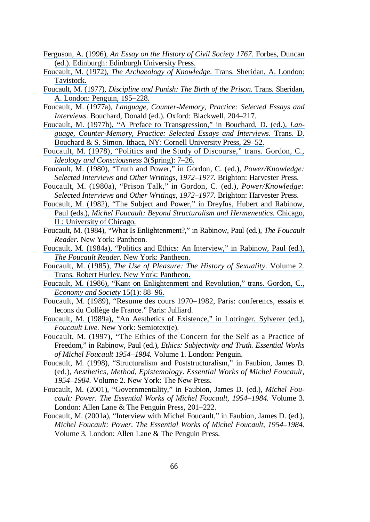- Ferguson, A. (1996), *[An Essay on the History of Civil Society 1767](https://www.researchgate.net/publication/5091807_An_Essay_On_the_History_of_Civil_Society?el=1_x_8&enrichId=rgreq-5c0861254901ea5db99325379f694d5d-XXX&enrichSource=Y292ZXJQYWdlOzI4MzEzMjYzNTtBUzozNTA3ODY2Nzc2OTAzNjhAMTQ2MDY0NTQ2OTc3NQ==)*. Forbes, Duncan [\(ed.\). Edinburgh: Edinburgh University Press.](https://www.researchgate.net/publication/5091807_An_Essay_On_the_History_of_Civil_Society?el=1_x_8&enrichId=rgreq-5c0861254901ea5db99325379f694d5d-XXX&enrichSource=Y292ZXJQYWdlOzI4MzEzMjYzNTtBUzozNTA3ODY2Nzc2OTAzNjhAMTQ2MDY0NTQ2OTc3NQ==)
- Foucault, M. (1972), *[The Archaeology of Knowledge](https://www.researchgate.net/publication/50319527_The_Archaeology_of_Knowledge?el=1_x_8&enrichId=rgreq-5c0861254901ea5db99325379f694d5d-XXX&enrichSource=Y292ZXJQYWdlOzI4MzEzMjYzNTtBUzozNTA3ODY2Nzc2OTAzNjhAMTQ2MDY0NTQ2OTc3NQ==)*. Trans. Sheridan, A. London: [Tavistock.](https://www.researchgate.net/publication/50319527_The_Archaeology_of_Knowledge?el=1_x_8&enrichId=rgreq-5c0861254901ea5db99325379f694d5d-XXX&enrichSource=Y292ZXJQYWdlOzI4MzEzMjYzNTtBUzozNTA3ODY2Nzc2OTAzNjhAMTQ2MDY0NTQ2OTc3NQ==)
- Foucault, M. (1977), *[Discipline and Punish: The Birth of the Prison.](https://www.researchgate.net/publication/281562288_Discipline_and_Punish_The_Birth_of_Prison?el=1_x_8&enrichId=rgreq-5c0861254901ea5db99325379f694d5d-XXX&enrichSource=Y292ZXJQYWdlOzI4MzEzMjYzNTtBUzozNTA3ODY2Nzc2OTAzNjhAMTQ2MDY0NTQ2OTc3NQ==)* Trans. Sheridan, [A. London: Penguin, 195–228.](https://www.researchgate.net/publication/281562288_Discipline_and_Punish_The_Birth_of_Prison?el=1_x_8&enrichId=rgreq-5c0861254901ea5db99325379f694d5d-XXX&enrichSource=Y292ZXJQYWdlOzI4MzEzMjYzNTtBUzozNTA3ODY2Nzc2OTAzNjhAMTQ2MDY0NTQ2OTc3NQ==)
- Foucault, M. (1977a), *Language, Counter-Memory, Practice: Selected Essays and Interviews.* Bouchard, Donald (ed.). Oxford: Blackwell, 204–217.
- [Foucault, M. \(1977b\), "A Preface to Transgression," in Bouchard, D. \(ed.\),](https://www.researchgate.net/publication/275748880_Language_Counter-Memory_Practice_Selected_Essays_and_Interviews?el=1_x_8&enrichId=rgreq-5c0861254901ea5db99325379f694d5d-XXX&enrichSource=Y292ZXJQYWdlOzI4MzEzMjYzNTtBUzozNTA3ODY2Nzc2OTAzNjhAMTQ2MDY0NTQ2OTc3NQ==) *Lan[guage, Counter-Memory, Practice: Selected Essays and Interviews](https://www.researchgate.net/publication/275748880_Language_Counter-Memory_Practice_Selected_Essays_and_Interviews?el=1_x_8&enrichId=rgreq-5c0861254901ea5db99325379f694d5d-XXX&enrichSource=Y292ZXJQYWdlOzI4MzEzMjYzNTtBUzozNTA3ODY2Nzc2OTAzNjhAMTQ2MDY0NTQ2OTc3NQ==)*. Trans. D. [Bouchard & S. Simon. Ithaca, NY: Cornell University Press, 29–52.](https://www.researchgate.net/publication/275748880_Language_Counter-Memory_Practice_Selected_Essays_and_Interviews?el=1_x_8&enrichId=rgreq-5c0861254901ea5db99325379f694d5d-XXX&enrichSource=Y292ZXJQYWdlOzI4MzEzMjYzNTtBUzozNTA3ODY2Nzc2OTAzNjhAMTQ2MDY0NTQ2OTc3NQ==)
- [Foucault, M. \(1978\), "Politics and the Study of Discourse," trans. Gordon, C.,](https://www.researchgate.net/publication/285840038_Politics_and_the_study_of_discourse?el=1_x_8&enrichId=rgreq-5c0861254901ea5db99325379f694d5d-XXX&enrichSource=Y292ZXJQYWdlOzI4MzEzMjYzNTtBUzozNTA3ODY2Nzc2OTAzNjhAMTQ2MDY0NTQ2OTc3NQ==) *[Ideology and Consciousness](https://www.researchgate.net/publication/285840038_Politics_and_the_study_of_discourse?el=1_x_8&enrichId=rgreq-5c0861254901ea5db99325379f694d5d-XXX&enrichSource=Y292ZXJQYWdlOzI4MzEzMjYzNTtBUzozNTA3ODY2Nzc2OTAzNjhAMTQ2MDY0NTQ2OTc3NQ==)* 3(Spring): 7–26.
- Foucault, M. (1980), "Truth and Power," in Gordon, C. (ed.), *Power/Knowledge: Selected Interviews and Other Writings, 1972*–*1977.* Brighton: Harvester Press.
- Foucault, M. (1980a), "Prison Talk," in Gordon, C. (ed.), *Power/Knowledge: Selected Interviews and Other Writings, 1972*–*1977.* Brighton: Harvester Press.
- [Foucault, M. \(1982\), "The Subject and Power," in Dreyfus, Hubert and Rabinow,](https://www.researchgate.net/publication/277530919_The_Subject_and_Power?el=1_x_8&enrichId=rgreq-5c0861254901ea5db99325379f694d5d-XXX&enrichSource=Y292ZXJQYWdlOzI4MzEzMjYzNTtBUzozNTA3ODY2Nzc2OTAzNjhAMTQ2MDY0NTQ2OTc3NQ==)  Paul (eds.), *[Michel Foucault: Beyond Structuralism and Hermeneutics.](https://www.researchgate.net/publication/277530919_The_Subject_and_Power?el=1_x_8&enrichId=rgreq-5c0861254901ea5db99325379f694d5d-XXX&enrichSource=Y292ZXJQYWdlOzI4MzEzMjYzNTtBUzozNTA3ODY2Nzc2OTAzNjhAMTQ2MDY0NTQ2OTc3NQ==)* Chicago, [IL: University of Chicago.](https://www.researchgate.net/publication/277530919_The_Subject_and_Power?el=1_x_8&enrichId=rgreq-5c0861254901ea5db99325379f694d5d-XXX&enrichSource=Y292ZXJQYWdlOzI4MzEzMjYzNTtBUzozNTA3ODY2Nzc2OTAzNjhAMTQ2MDY0NTQ2OTc3NQ==)
- Foucault, M. (1984), "What Is Enlightenment?," in Rabinow, Paul (ed.), *The Foucault Reader.* New York: Pantheon.
- [Foucault, M. \(1984a\), "Politics and Ethics: An Interview," in Rabinow, Paul \(ed.\),](https://www.researchgate.net/publication/285867370_What_is_Enlightenment_in_The_Foucauh_Reader?el=1_x_8&enrichId=rgreq-5c0861254901ea5db99325379f694d5d-XXX&enrichSource=Y292ZXJQYWdlOzI4MzEzMjYzNTtBUzozNTA3ODY2Nzc2OTAzNjhAMTQ2MDY0NTQ2OTc3NQ==) *The Foucault Reader*[. New York: Pantheon.](https://www.researchgate.net/publication/285867370_What_is_Enlightenment_in_The_Foucauh_Reader?el=1_x_8&enrichId=rgreq-5c0861254901ea5db99325379f694d5d-XXX&enrichSource=Y292ZXJQYWdlOzI4MzEzMjYzNTtBUzozNTA3ODY2Nzc2OTAzNjhAMTQ2MDY0NTQ2OTc3NQ==)
- Foucault, M. (1985), *[The Use of Pleasure: The History of Sexuality.](https://www.researchgate.net/publication/233821096_The_Use_of_Pleasure-the_History_of_Sexuality_Tr?el=1_x_8&enrichId=rgreq-5c0861254901ea5db99325379f694d5d-XXX&enrichSource=Y292ZXJQYWdlOzI4MzEzMjYzNTtBUzozNTA3ODY2Nzc2OTAzNjhAMTQ2MDY0NTQ2OTc3NQ==)* Volume 2*.* [Trans. Robert Hurley. New York: Pantheon.](https://www.researchgate.net/publication/233821096_The_Use_of_Pleasure-the_History_of_Sexuality_Tr?el=1_x_8&enrichId=rgreq-5c0861254901ea5db99325379f694d5d-XXX&enrichSource=Y292ZXJQYWdlOzI4MzEzMjYzNTtBUzozNTA3ODY2Nzc2OTAzNjhAMTQ2MDY0NTQ2OTc3NQ==)
- [Foucault, M. \(1986\), "Kant on Enlightenment and Revolution," trans. Gordon, C.,](https://www.researchgate.net/publication/287421504_Kant_on_enlightenment_and_revolution?el=1_x_8&enrichId=rgreq-5c0861254901ea5db99325379f694d5d-XXX&enrichSource=Y292ZXJQYWdlOzI4MzEzMjYzNTtBUzozNTA3ODY2Nzc2OTAzNjhAMTQ2MDY0NTQ2OTc3NQ==)  *[Economy and Society](https://www.researchgate.net/publication/287421504_Kant_on_enlightenment_and_revolution?el=1_x_8&enrichId=rgreq-5c0861254901ea5db99325379f694d5d-XXX&enrichSource=Y292ZXJQYWdlOzI4MzEzMjYzNTtBUzozNTA3ODY2Nzc2OTAzNjhAMTQ2MDY0NTQ2OTc3NQ==)* 15(1): 88–96.
- Foucault, M. (1989), "Resume des cours 1970–1982, Paris: conferencs, essais et lecons du Collège de France." Paris: Julliard.
- [Foucault, M. \(1989a\), "An Aesthetics of Existence," in Lotringer, Sylverer](https://www.researchgate.net/publication/245274050_An_aesthetics_of_existence?el=1_x_8&enrichId=rgreq-5c0861254901ea5db99325379f694d5d-XXX&enrichSource=Y292ZXJQYWdlOzI4MzEzMjYzNTtBUzozNTA3ODY2Nzc2OTAzNjhAMTQ2MDY0NTQ2OTc3NQ==) (ed.), *Foucault Live.* [New York: Semiotext\(e\).](https://www.researchgate.net/publication/245274050_An_aesthetics_of_existence?el=1_x_8&enrichId=rgreq-5c0861254901ea5db99325379f694d5d-XXX&enrichSource=Y292ZXJQYWdlOzI4MzEzMjYzNTtBUzozNTA3ODY2Nzc2OTAzNjhAMTQ2MDY0NTQ2OTc3NQ==)
- Foucault, M. (1997), "The Ethics of the Concern for the Self as a Practice of Freedom," in Rabinow, Paul (ed.), *Ethics: Subjectivity and Truth. Essential Works of Michel Foucault 1954*–*1984.* Volume 1. London: Penguin.
- Foucault, M. (1998), "Structuralism and Poststructuralism," in Faubion, James D. (ed.), *Aesthetics, Method, Epistemology*. *Essential Works of Michel Foucault, 1954*–*1984.* Volume 2. New York: The New Press.
- Foucault, M. (2001), "Governmentality," in Faubion, James D. (ed.), *Michel Foucault: Power. The Essential Works of Michel Foucault, 1954*–*1984.* Volume 3*.* London: Allen Lane & The Penguin Press, 201–222.
- Foucault, M. (2001a), "Interview with Michel Foucault," in Faubion, James D. (ed.), *Michel Foucault: Power. The Essential Works of Michel Foucault, 1954*–*1984.* Volume 3*.* London: Allen Lane & The Penguin Press.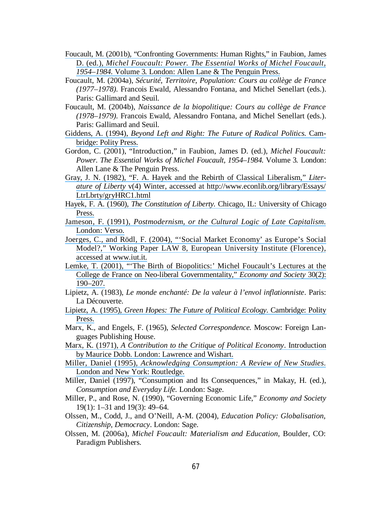- [Foucault, M. \(2001b\), "Confronting Governments: Human Rights," in Faubion, James](https://www.researchgate.net/publication/291216928_A_preface_to_transgression?el=1_x_8&enrichId=rgreq-5c0861254901ea5db99325379f694d5d-XXX&enrichSource=Y292ZXJQYWdlOzI4MzEzMjYzNTtBUzozNTA3ODY2Nzc2OTAzNjhAMTQ2MDY0NTQ2OTc3NQ==) D. (ed.), *Michel Foucault: Power. [The Essential Works of Michel Foucault,](https://www.researchgate.net/publication/291216928_A_preface_to_transgression?el=1_x_8&enrichId=rgreq-5c0861254901ea5db99325379f694d5d-XXX&enrichSource=Y292ZXJQYWdlOzI4MzEzMjYzNTtBUzozNTA3ODY2Nzc2OTAzNjhAMTQ2MDY0NTQ2OTc3NQ==) 1954*–*1984.* Volume 3*.* [London: Allen Lane & The Penguin Press.](https://www.researchgate.net/publication/291216928_A_preface_to_transgression?el=1_x_8&enrichId=rgreq-5c0861254901ea5db99325379f694d5d-XXX&enrichSource=Y292ZXJQYWdlOzI4MzEzMjYzNTtBUzozNTA3ODY2Nzc2OTAzNjhAMTQ2MDY0NTQ2OTc3NQ==)
- Foucault, M. (2004a), *Sécurité, Territoire, Population: Cours au collège de France (1977*–*1978)*. Francois Ewald, Alessandro Fontana, and Michel Senellart (eds.). Paris: Gallimard and Seuil.
- Foucault, M. (2004b), *Naissance de la biopolitique: Cours au collège de France (1978*–*1979)*. Francois Ewald, Alessandro Fontana, and Michel Senellart (eds.). Paris: Gallimard and Seuil.
- Giddens, A. (1994), *[Beyond Left and Right: The Future of Radical Politics.](https://www.researchgate.net/publication/37702143_Beyond_Left_and_Right_The_Future_of_Radical_Politics?el=1_x_8&enrichId=rgreq-5c0861254901ea5db99325379f694d5d-XXX&enrichSource=Y292ZXJQYWdlOzI4MzEzMjYzNTtBUzozNTA3ODY2Nzc2OTAzNjhAMTQ2MDY0NTQ2OTc3NQ==)* Cam[bridge: Polity Press.](https://www.researchgate.net/publication/37702143_Beyond_Left_and_Right_The_Future_of_Radical_Politics?el=1_x_8&enrichId=rgreq-5c0861254901ea5db99325379f694d5d-XXX&enrichSource=Y292ZXJQYWdlOzI4MzEzMjYzNTtBUzozNTA3ODY2Nzc2OTAzNjhAMTQ2MDY0NTQ2OTc3NQ==)
- Gordon, C. (2001), "Introduction," in Faubion, James D. (ed.), *Michel Foucault: Power. The Essential Works of Michel Foucault, 1954*–*1984.* Volume 3*.* London: Allen Lane & The Penguin Press.
- Gray, J. N. (1982), ["F. A. Hayek and the Rebirth of Classical Liberalism,"](https://www.researchgate.net/publication/287583941_F_A_Hayek_and_the_rebirth_of_classical_liberalism?el=1_x_8&enrichId=rgreq-5c0861254901ea5db99325379f694d5d-XXX&enrichSource=Y292ZXJQYWdlOzI4MzEzMjYzNTtBUzozNTA3ODY2Nzc2OTAzNjhAMTQ2MDY0NTQ2OTc3NQ==) *Literature of Liberty* v(4) Winter, [accessed at http://www.econlib.org/library/Essays/](https://www.researchgate.net/publication/287583941_F_A_Hayek_and_the_rebirth_of_classical_liberalism?el=1_x_8&enrichId=rgreq-5c0861254901ea5db99325379f694d5d-XXX&enrichSource=Y292ZXJQYWdlOzI4MzEzMjYzNTtBUzozNTA3ODY2Nzc2OTAzNjhAMTQ2MDY0NTQ2OTc3NQ==) [LtrLbrty/gryHRC1.html](https://www.researchgate.net/publication/287583941_F_A_Hayek_and_the_rebirth_of_classical_liberalism?el=1_x_8&enrichId=rgreq-5c0861254901ea5db99325379f694d5d-XXX&enrichSource=Y292ZXJQYWdlOzI4MzEzMjYzNTtBUzozNTA3ODY2Nzc2OTAzNjhAMTQ2MDY0NTQ2OTc3NQ==)
- Hayek, F. A. (1960), *The Constitution of Liberty.* [Chicago, IL: University of Chicago](https://www.researchgate.net/publication/281453252_The_Constitution_of_Liberty?el=1_x_8&enrichId=rgreq-5c0861254901ea5db99325379f694d5d-XXX&enrichSource=Y292ZXJQYWdlOzI4MzEzMjYzNTtBUzozNTA3ODY2Nzc2OTAzNjhAMTQ2MDY0NTQ2OTc3NQ==) [Press.](https://www.researchgate.net/publication/281453252_The_Constitution_of_Liberty?el=1_x_8&enrichId=rgreq-5c0861254901ea5db99325379f694d5d-XXX&enrichSource=Y292ZXJQYWdlOzI4MzEzMjYzNTtBUzozNTA3ODY2Nzc2OTAzNjhAMTQ2MDY0NTQ2OTc3NQ==)
- Jameson, F. (1991), *[Postmodernism, or the Cultural Logic of Late Capitalism.](https://www.researchgate.net/publication/208574272_Postmodernism_Or_the_Cultural_Logic_of_Late_Capitalism?el=1_x_8&enrichId=rgreq-5c0861254901ea5db99325379f694d5d-XXX&enrichSource=Y292ZXJQYWdlOzI4MzEzMjYzNTtBUzozNTA3ODY2Nzc2OTAzNjhAMTQ2MDY0NTQ2OTc3NQ==)* [London: Verso.](https://www.researchgate.net/publication/208574272_Postmodernism_Or_the_Cultural_Logic_of_Late_Capitalism?el=1_x_8&enrichId=rgreq-5c0861254901ea5db99325379f694d5d-XXX&enrichSource=Y292ZXJQYWdlOzI4MzEzMjYzNTtBUzozNTA3ODY2Nzc2OTAzNjhAMTQ2MDY0NTQ2OTc3NQ==)
- [Joerges, C., and Rödl, F. \(2004\), "'Social Market Economy' as Europe's Social](https://www.researchgate.net/publication/5015059_Social_Market_Economy_as_Europeas_Social_Model?el=1_x_8&enrichId=rgreq-5c0861254901ea5db99325379f694d5d-XXX&enrichSource=Y292ZXJQYWdlOzI4MzEzMjYzNTtBUzozNTA3ODY2Nzc2OTAzNjhAMTQ2MDY0NTQ2OTc3NQ==) [Model?," Working Paper LAW 8, European University Institute \(Florence\),](https://www.researchgate.net/publication/5015059_Social_Market_Economy_as_Europeas_Social_Model?el=1_x_8&enrichId=rgreq-5c0861254901ea5db99325379f694d5d-XXX&enrichSource=Y292ZXJQYWdlOzI4MzEzMjYzNTtBUzozNTA3ODY2Nzc2OTAzNjhAMTQ2MDY0NTQ2OTc3NQ==) [accessed at www.iut.it.](https://www.researchgate.net/publication/5015059_Social_Market_Economy_as_Europeas_Social_Model?el=1_x_8&enrichId=rgreq-5c0861254901ea5db99325379f694d5d-XXX&enrichSource=Y292ZXJQYWdlOzI4MzEzMjYzNTtBUzozNTA3ODY2Nzc2OTAzNjhAMTQ2MDY0NTQ2OTc3NQ==)
- [Lemke, T. \(2001\), "'The Birth of Biopolitics:' Michel Foucault's Lectures at the](https://www.researchgate.net/publication/228853767_The_Birth_of_Biopolitics_Michel_Foucault) [College de France on Neo-liberal Governmentality,"](https://www.researchgate.net/publication/228853767_The_Birth_of_Biopolitics_Michel_Foucault) *Economy and Society* 30(2): [190–207.](https://www.researchgate.net/publication/228853767_The_Birth_of_Biopolitics_Michel_Foucault)
- Lipietz, A. (1983), *Le monde enchanté: De la valeur à l'envol inflationniste*. Paris: La Découverte.
- Lipietz, A. (1995), *[Green Hopes: The Future of Political Ecology](https://www.researchgate.net/publication/276018697_Green_Hopes_The_Future_of_Political_Ecology?el=1_x_8&enrichId=rgreq-5c0861254901ea5db99325379f694d5d-XXX&enrichSource=Y292ZXJQYWdlOzI4MzEzMjYzNTtBUzozNTA3ODY2Nzc2OTAzNjhAMTQ2MDY0NTQ2OTc3NQ==)*. Cambridge: Polity [Press.](https://www.researchgate.net/publication/276018697_Green_Hopes_The_Future_of_Political_Ecology?el=1_x_8&enrichId=rgreq-5c0861254901ea5db99325379f694d5d-XXX&enrichSource=Y292ZXJQYWdlOzI4MzEzMjYzNTtBUzozNTA3ODY2Nzc2OTAzNjhAMTQ2MDY0NTQ2OTc3NQ==)
- Marx, K., and Engels, F. (1965), *Selected Correspondence.* Moscow: Foreign Languages Publishing House.
- Marx, K. (1971), *[A Contribution to the Critique of Political Economy](https://www.researchgate.net/publication/237131488_A_Contribution_to_the_Critique_of_Political_Economy?el=1_x_8&enrichId=rgreq-5c0861254901ea5db99325379f694d5d-XXX&enrichSource=Y292ZXJQYWdlOzI4MzEzMjYzNTtBUzozNTA3ODY2Nzc2OTAzNjhAMTQ2MDY0NTQ2OTc3NQ==)*. Introduction [by Maurice Dobb. London: Lawrence and Wishart.](https://www.researchgate.net/publication/237131488_A_Contribution_to_the_Critique_of_Political_Economy?el=1_x_8&enrichId=rgreq-5c0861254901ea5db99325379f694d5d-XXX&enrichSource=Y292ZXJQYWdlOzI4MzEzMjYzNTtBUzozNTA3ODY2Nzc2OTAzNjhAMTQ2MDY0NTQ2OTc3NQ==)
- Miller, Daniel (1995), *[Acknowledging Consumption: A Review of New Studies.](https://www.researchgate.net/publication/249475497_Acknowledging_Consumption_A_Review_of_New_Studies?el=1_x_8&enrichId=rgreq-5c0861254901ea5db99325379f694d5d-XXX&enrichSource=Y292ZXJQYWdlOzI4MzEzMjYzNTtBUzozNTA3ODY2Nzc2OTAzNjhAMTQ2MDY0NTQ2OTc3NQ==)* [London and New York: Routledge.](https://www.researchgate.net/publication/249475497_Acknowledging_Consumption_A_Review_of_New_Studies?el=1_x_8&enrichId=rgreq-5c0861254901ea5db99325379f694d5d-XXX&enrichSource=Y292ZXJQYWdlOzI4MzEzMjYzNTtBUzozNTA3ODY2Nzc2OTAzNjhAMTQ2MDY0NTQ2OTc3NQ==)
- Miller, Daniel (1997), "Consumption and Its Consequences," in Makay, H. (ed.), *Consumption and Everyday Life.* London: Sage.
- Miller, P., and Rose, N. (1990), "Governing Economic Life," *Economy and Society* 19(1): 1–31 and 19(3): 49–64.
- Olssen, M., Codd, J., and O'Neill, A-M. (2004), *Education Policy: Globalisation, Citizenship, Democracy*. London: Sage.
- Olssen, M. (2006a), *Michel Foucault: Materialism and Education,* Boulder, CO: Paradigm Publishers.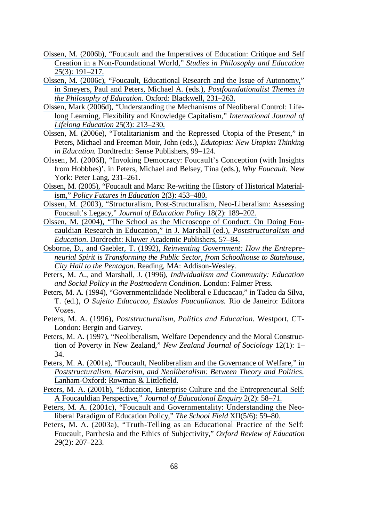- [Olssen, M. \(2006b\), "Foucault and the Imperatives of Education: Critique and Self](https://www.researchgate.net/publication/226512752_Foucault_and_the_Imperatives_of_Education_Critique_and_Self-Creation_in_a_Non-Foundational_World?el=1_x_8&enrichId=rgreq-5c0861254901ea5db99325379f694d5d-XXX&enrichSource=Y292ZXJQYWdlOzI4MzEzMjYzNTtBUzozNTA3ODY2Nzc2OTAzNjhAMTQ2MDY0NTQ2OTc3NQ==)  [Creation in a Non-Foundational World,"](https://www.researchgate.net/publication/226512752_Foucault_and_the_Imperatives_of_Education_Critique_and_Self-Creation_in_a_Non-Foundational_World?el=1_x_8&enrichId=rgreq-5c0861254901ea5db99325379f694d5d-XXX&enrichSource=Y292ZXJQYWdlOzI4MzEzMjYzNTtBUzozNTA3ODY2Nzc2OTAzNjhAMTQ2MDY0NTQ2OTc3NQ==) *Studies in Philosophy and Education* [25\(3\): 191–217.](https://www.researchgate.net/publication/226512752_Foucault_and_the_Imperatives_of_Education_Critique_and_Self-Creation_in_a_Non-Foundational_World?el=1_x_8&enrichId=rgreq-5c0861254901ea5db99325379f694d5d-XXX&enrichSource=Y292ZXJQYWdlOzI4MzEzMjYzNTtBUzozNTA3ODY2Nzc2OTAzNjhAMTQ2MDY0NTQ2OTc3NQ==)
- [Olssen, M. \(2006c\), "Foucault, Educational Research and the Issue of Autonomy,](https://www.researchgate.net/publication/227605216_Foucault_Educational_Research_and_the_Issue_of_Autonomy?el=1_x_8&enrichId=rgreq-5c0861254901ea5db99325379f694d5d-XXX&enrichSource=Y292ZXJQYWdlOzI4MzEzMjYzNTtBUzozNTA3ODY2Nzc2OTAzNjhAMTQ2MDY0NTQ2OTc3NQ==)" [in Smeyers, Paul and Peters, Michael A. \(eds.\),](https://www.researchgate.net/publication/227605216_Foucault_Educational_Research_and_the_Issue_of_Autonomy?el=1_x_8&enrichId=rgreq-5c0861254901ea5db99325379f694d5d-XXX&enrichSource=Y292ZXJQYWdlOzI4MzEzMjYzNTtBUzozNTA3ODY2Nzc2OTAzNjhAMTQ2MDY0NTQ2OTc3NQ==) *Postfoundationalist Themes in the Philosophy of Education.* [Oxford: Blackwell, 231–263.](https://www.researchgate.net/publication/227605216_Foucault_Educational_Research_and_the_Issue_of_Autonomy?el=1_x_8&enrichId=rgreq-5c0861254901ea5db99325379f694d5d-XXX&enrichSource=Y292ZXJQYWdlOzI4MzEzMjYzNTtBUzozNTA3ODY2Nzc2OTAzNjhAMTQ2MDY0NTQ2OTc3NQ==)
- [Olssen, Mark \(2006d\), "Understanding the Mechanisms of Neoliberal Control: Life](https://www.researchgate.net/publication/238398778_Understanding_the_Mechanisms_of_Neoliberal_Control_Lifelong_Learning_Flexibility_and_Knowledge_Capitalism?el=1_x_8&enrichId=rgreq-5c0861254901ea5db99325379f694d5d-XXX&enrichSource=Y292ZXJQYWdlOzI4MzEzMjYzNTtBUzozNTA3ODY2Nzc2OTAzNjhAMTQ2MDY0NTQ2OTc3NQ==)[long Learning, Flexibility and Knowledge Capitalism,"](https://www.researchgate.net/publication/238398778_Understanding_the_Mechanisms_of_Neoliberal_Control_Lifelong_Learning_Flexibility_and_Knowledge_Capitalism?el=1_x_8&enrichId=rgreq-5c0861254901ea5db99325379f694d5d-XXX&enrichSource=Y292ZXJQYWdlOzI4MzEzMjYzNTtBUzozNTA3ODY2Nzc2OTAzNjhAMTQ2MDY0NTQ2OTc3NQ==) *International Journal of [Lifelong Education](https://www.researchgate.net/publication/238398778_Understanding_the_Mechanisms_of_Neoliberal_Control_Lifelong_Learning_Flexibility_and_Knowledge_Capitalism?el=1_x_8&enrichId=rgreq-5c0861254901ea5db99325379f694d5d-XXX&enrichSource=Y292ZXJQYWdlOzI4MzEzMjYzNTtBUzozNTA3ODY2Nzc2OTAzNjhAMTQ2MDY0NTQ2OTc3NQ==)* 25(3): 213–230.
- Olssen, M. (2006e), "Totalitarianism and the Repressed Utopia of the Present," in Peters, Michael and Freeman Moir, John (eds.), *Edutopias: New Utopian Thinking in Education.* Dordtrecht: Sense Publishers, 99–124.
- Olssen, M. (2006f), "Invoking Democracy: Foucault's Conception (with Insights from Hobbbes)', in Peters, Michael and Belsey, Tina (eds.), *Why Foucault.* New York: Peter Lang, 231–261.
- [Olssen, M. \(2005\), "Foucault and Marx: Re-writing the History of Historical Material](https://www.researchgate.net/publication/30930658_Foucault_and_Marx_re-writing_the_theory_of_historical_materialism?el=1_x_8&enrichId=rgreq-5c0861254901ea5db99325379f694d5d-XXX&enrichSource=Y292ZXJQYWdlOzI4MzEzMjYzNTtBUzozNTA3ODY2Nzc2OTAzNjhAMTQ2MDY0NTQ2OTc3NQ==)ism," *[Policy Futures in Education](https://www.researchgate.net/publication/30930658_Foucault_and_Marx_re-writing_the_theory_of_historical_materialism?el=1_x_8&enrichId=rgreq-5c0861254901ea5db99325379f694d5d-XXX&enrichSource=Y292ZXJQYWdlOzI4MzEzMjYzNTtBUzozNTA3ODY2Nzc2OTAzNjhAMTQ2MDY0NTQ2OTc3NQ==)* 2(3): 453–480.
- [Olssen, M. \(2003\), "Structuralism, Post-Structuralism, Neo-Liberalism: Assessing](https://www.researchgate.net/publication/248975590_Structuralism_post-structuralism_neo-liberalism_Assessing_Foucault) Foucault's Legacy," *[Journal of Education Policy](https://www.researchgate.net/publication/248975590_Structuralism_post-structuralism_neo-liberalism_Assessing_Foucault)* 18(2): 189–202.
- [Olssen, M. \(2004\), "The School as the Microscope of Conduct: On Doing Fou](https://www.researchgate.net/publication/251131871_Erratum_to_The_School_as_the_Microscope_of_Conduct_Doing_Foucauldian_Research_in_Education?el=1_x_8&enrichId=rgreq-5c0861254901ea5db99325379f694d5d-XXX&enrichSource=Y292ZXJQYWdlOzI4MzEzMjYzNTtBUzozNTA3ODY2Nzc2OTAzNjhAMTQ2MDY0NTQ2OTc3NQ==)[cauldian Research in Education," in J. Marshall \(ed.\),](https://www.researchgate.net/publication/251131871_Erratum_to_The_School_as_the_Microscope_of_Conduct_Doing_Foucauldian_Research_in_Education?el=1_x_8&enrichId=rgreq-5c0861254901ea5db99325379f694d5d-XXX&enrichSource=Y292ZXJQYWdlOzI4MzEzMjYzNTtBUzozNTA3ODY2Nzc2OTAzNjhAMTQ2MDY0NTQ2OTc3NQ==) *Poststructuralism and Education*. [Dordrecht: Kluwer Academic Publishers, 57–84.](https://www.researchgate.net/publication/251131871_Erratum_to_The_School_as_the_Microscope_of_Conduct_Doing_Foucauldian_Research_in_Education?el=1_x_8&enrichId=rgreq-5c0861254901ea5db99325379f694d5d-XXX&enrichSource=Y292ZXJQYWdlOzI4MzEzMjYzNTtBUzozNTA3ODY2Nzc2OTAzNjhAMTQ2MDY0NTQ2OTc3NQ==)
- Osborne, D., and Gaebler, T. (1992), *[Reinventing Government: How the Entrepre](https://www.researchgate.net/publication/37414545_Reinventing_Government_How_The_Entrepreneurial_Spirit_Is_Transforming_The_Public_Sector?el=1_x_8&enrichId=rgreq-5c0861254901ea5db99325379f694d5d-XXX&enrichSource=Y292ZXJQYWdlOzI4MzEzMjYzNTtBUzozNTA3ODY2Nzc2OTAzNjhAMTQ2MDY0NTQ2OTc3NQ==)[neurial Spirit is Transforming the Public Sector, from Schoolhouse to Statehouse,](https://www.researchgate.net/publication/37414545_Reinventing_Government_How_The_Entrepreneurial_Spirit_Is_Transforming_The_Public_Sector?el=1_x_8&enrichId=rgreq-5c0861254901ea5db99325379f694d5d-XXX&enrichSource=Y292ZXJQYWdlOzI4MzEzMjYzNTtBUzozNTA3ODY2Nzc2OTAzNjhAMTQ2MDY0NTQ2OTc3NQ==)  City Hall to the Pentagon.* [Reading, MA: Addison-Wesley.](https://www.researchgate.net/publication/37414545_Reinventing_Government_How_The_Entrepreneurial_Spirit_Is_Transforming_The_Public_Sector?el=1_x_8&enrichId=rgreq-5c0861254901ea5db99325379f694d5d-XXX&enrichSource=Y292ZXJQYWdlOzI4MzEzMjYzNTtBUzozNTA3ODY2Nzc2OTAzNjhAMTQ2MDY0NTQ2OTc3NQ==)
- Peters, M. A., and Marshall, J. (1996), *Individualism and Community: Education and Social Policy in the Postmodern Condition*. London: Falmer Press.
- Peters, M. A. (1994), "Governmentalidade Neoliberal e Educacao," in Tadeu da Silva, T. (ed.), *O Sujeito Educacao, Estudos Foucaulianos.* Rio de Janeiro: Editora Vozes.
- Peters, M. A. (1996), *Poststructuralism, Politics and Education.* Westport, CT-London: Bergin and Garvey.
- Peters, M. A. (1997), "Neoliberalism, Welfare Dependency and the Moral Construction of Poverty in New Zealand," *New Zealand Journal of Sociology* 12(1): 1– 34.
- [Peters, M. A. \(2001a\), "Foucault, Neoliberalism and the Governance of Welfare," in](https://www.researchgate.net/publication/292023814_Neoliberalism_welfare_dependency_and_the_moral_construction_of_poverty_in_New_Zealand?el=1_x_8&enrichId=rgreq-5c0861254901ea5db99325379f694d5d-XXX&enrichSource=Y292ZXJQYWdlOzI4MzEzMjYzNTtBUzozNTA3ODY2Nzc2OTAzNjhAMTQ2MDY0NTQ2OTc3NQ==)  *[Poststructuralism, Marxism, and Neoliberalism: Between Theory and Politics.](https://www.researchgate.net/publication/292023814_Neoliberalism_welfare_dependency_and_the_moral_construction_of_poverty_in_New_Zealand?el=1_x_8&enrichId=rgreq-5c0861254901ea5db99325379f694d5d-XXX&enrichSource=Y292ZXJQYWdlOzI4MzEzMjYzNTtBUzozNTA3ODY2Nzc2OTAzNjhAMTQ2MDY0NTQ2OTc3NQ==)* [Lanham-Oxford: Rowman & Littlefield.](https://www.researchgate.net/publication/292023814_Neoliberalism_welfare_dependency_and_the_moral_construction_of_poverty_in_New_Zealand?el=1_x_8&enrichId=rgreq-5c0861254901ea5db99325379f694d5d-XXX&enrichSource=Y292ZXJQYWdlOzI4MzEzMjYzNTtBUzozNTA3ODY2Nzc2OTAzNjhAMTQ2MDY0NTQ2OTc3NQ==)
- [Peters, M. A. \(2001b\), "Education, Enterprise Culture and the Entrepreneurial Self:](https://www.researchgate.net/publication/251429444_Education_Enterprise_Culture_and_the_Entrepreneurial_Self_A_Foucauldian_Perspective?el=1_x_8&enrichId=rgreq-5c0861254901ea5db99325379f694d5d-XXX&enrichSource=Y292ZXJQYWdlOzI4MzEzMjYzNTtBUzozNTA3ODY2Nzc2OTAzNjhAMTQ2MDY0NTQ2OTc3NQ==)  A Foucauldian Perspective," *[Journal of Educational Enquiry](https://www.researchgate.net/publication/251429444_Education_Enterprise_Culture_and_the_Entrepreneurial_Self_A_Foucauldian_Perspective?el=1_x_8&enrichId=rgreq-5c0861254901ea5db99325379f694d5d-XXX&enrichSource=Y292ZXJQYWdlOzI4MzEzMjYzNTtBUzozNTA3ODY2Nzc2OTAzNjhAMTQ2MDY0NTQ2OTc3NQ==)* 2(2): 58–71.
- [Peters, M. A. \(2001c\), "Foucault and Governmentality: Understanding the Neo](https://www.researchgate.net/publication/29814577_Foucault_and_governmentality_understanding_the_neoliberal_paradigm_of_education_policy?el=1_x_8&enrichId=rgreq-5c0861254901ea5db99325379f694d5d-XXX&enrichSource=Y292ZXJQYWdlOzI4MzEzMjYzNTtBUzozNTA3ODY2Nzc2OTAzNjhAMTQ2MDY0NTQ2OTc3NQ==)[liberal Paradigm of Education Policy,"](https://www.researchgate.net/publication/29814577_Foucault_and_governmentality_understanding_the_neoliberal_paradigm_of_education_policy?el=1_x_8&enrichId=rgreq-5c0861254901ea5db99325379f694d5d-XXX&enrichSource=Y292ZXJQYWdlOzI4MzEzMjYzNTtBUzozNTA3ODY2Nzc2OTAzNjhAMTQ2MDY0NTQ2OTc3NQ==) *The School Field* XII(5/6): 59–80.
- Peters, M. A. (2003a), "Truth-Telling as an Educational Practice of the Self: Foucault, Parrhesia and the Ethics of Subjectivity," *Oxford Review of Education* 29(2): 207–223.